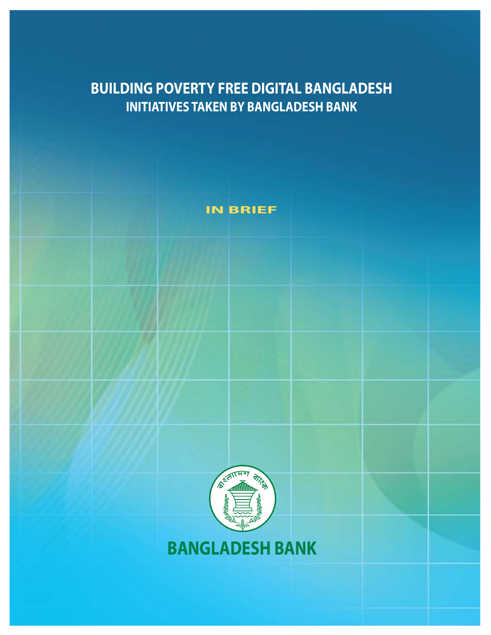## **BUILDING POVERTY FREE DIGITAL BANGLADESH INITIATIVES TAKEN BY BANGLADESH BANK**





**BANGLADESH BANK**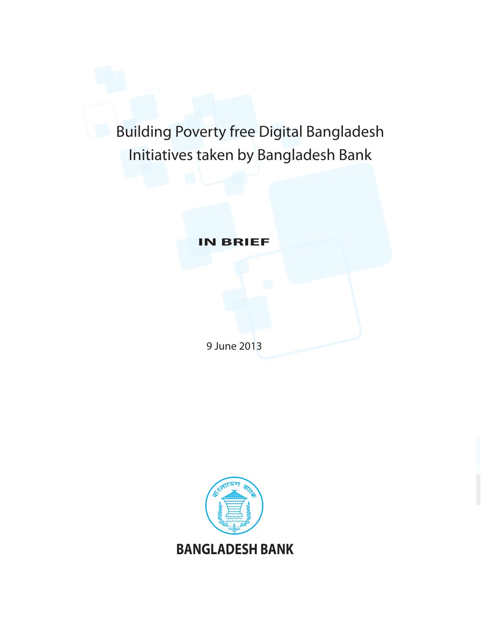# Building Poverty free Digital Bangladesh Initiatives taken by Bangladesh Bank

**IN BRIEF**

9 June 2013

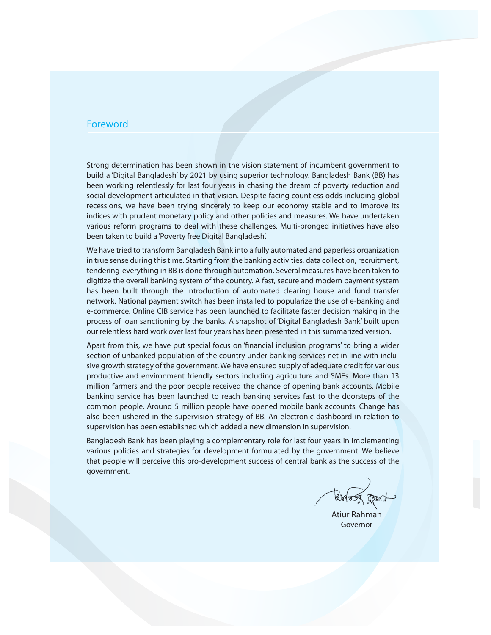#### Foreword

Strong determination has been shown in the vision statement of incumbent government to build a 'Digital Bangladesh' by 2021 by using superior technology. Bangladesh Bank (BB) has been working relentlessly for last four years in chasing the dream of poverty reduction and social development articulated in that vision. Despite facing countless odds including global recessions, we have been trying sincerely to keep our economy stable and to improve its indices with prudent monetary policy and other policies and measures. We have undertaken various reform programs to deal with these challenges. Multi-pronged initiatives have also been taken to build a 'Poverty free Digital Bangladesh'.

We have tried to transform Bangladesh Bank into a fully automated and paperless organization in true sense during this time. Starting from the banking activities, data collection, recruitment, tendering-everything in BB is done through automation. Several measures have been taken to digitize the overall banking system of the country. A fast, secure and modern payment system has been built through the introduction of automated clearing house and fund transfer network. National payment switch has been installed to popularize the use of e-banking and e-commerce. Online CIB service has been launched to facilitate faster decision making in the process of loan sanctioning by the banks. A snapshot of 'Digital Bangladesh Bank' built upon our relentless hard work over last four years has been presented in this summarized version.

Apart from this, we have put special focus on 'financial inclusion programs' to bring a wider section of unbanked population of the country under banking services net in line with inclusive growth strategy of the government. We have ensured supply of adequate credit for various productive and environment friendly sectors including agriculture and SMEs. More than 13 million farmers and the poor people received the chance of opening bank accounts. Mobile banking service has been launched to reach banking services fast to the doorsteps of the common people. Around 5 million people have opened mobile bank accounts. Change has also been ushered in the supervision strategy of BB. An electronic dashboard in relation to supervision has been established which added a new dimension in supervision.

Bangladesh Bank has been playing a complementary role for last four years in implementing various policies and strategies for development formulated by the government. We believe that people will perceive this pro-development success of central bank as the success of the government.

Untoug part

Atiur Rahman Governor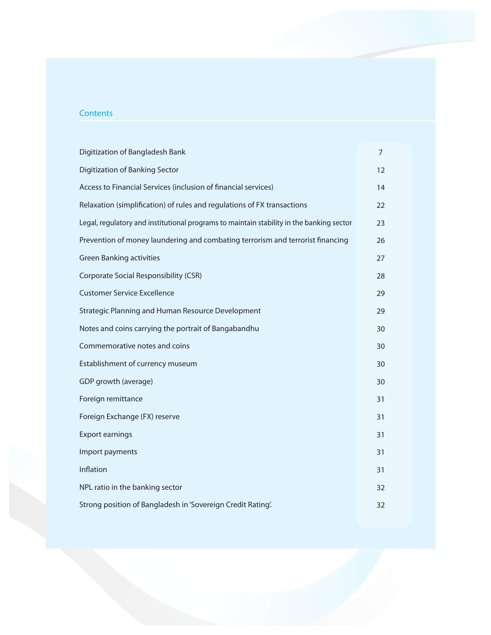#### **Contents**

| Digitization of Bangladesh Bank                                                          | 7  |  |  |  |
|------------------------------------------------------------------------------------------|----|--|--|--|
| Digitization of Banking Sector                                                           | 12 |  |  |  |
| Access to Financial Services (inclusion of financial services)                           | 14 |  |  |  |
| Relaxation (simplification) of rules and regulations of FX transactions                  | 22 |  |  |  |
| Legal, regulatory and institutional programs to maintain stability in the banking sector | 23 |  |  |  |
| Prevention of money laundering and combating terrorism and terrorist financing           | 26 |  |  |  |
| <b>Green Banking activities</b>                                                          | 27 |  |  |  |
| Corporate Social Responsibility (CSR)                                                    | 28 |  |  |  |
| <b>Customer Service Excellence</b>                                                       | 29 |  |  |  |
| Strategic Planning and Human Resource Development                                        |    |  |  |  |
| Notes and coins carrying the portrait of Bangabandhu                                     | 30 |  |  |  |
| Commemorative notes and coins                                                            | 30 |  |  |  |
| Establishment of currency museum                                                         | 30 |  |  |  |
| GDP growth (average)                                                                     | 30 |  |  |  |
| Foreign remittance                                                                       | 31 |  |  |  |
| Foreign Exchange (FX) reserve                                                            | 31 |  |  |  |
| <b>Export earnings</b>                                                                   | 31 |  |  |  |
| Import payments                                                                          | 31 |  |  |  |
| Inflation                                                                                | 31 |  |  |  |
| NPL ratio in the banking sector                                                          | 32 |  |  |  |
| Strong position of Bangladesh in 'Sovereign Credit Rating'.                              | 32 |  |  |  |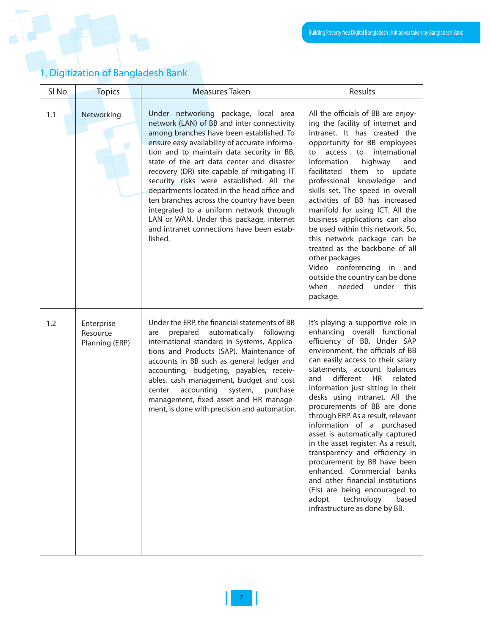### 1. Digitization of Bangladesh Bank

| SI <sub>No</sub> | <b>Topics</b><br><b>Measures Taken</b>   |                                                                                                                                                                                                                                                                                                                                                                                                                                                                                                                                                                                                                | Results                                                                                                                                                                                                                                                                                                                                                                                                                                                                                                                                                                                                                                                                                                                                       |
|------------------|------------------------------------------|----------------------------------------------------------------------------------------------------------------------------------------------------------------------------------------------------------------------------------------------------------------------------------------------------------------------------------------------------------------------------------------------------------------------------------------------------------------------------------------------------------------------------------------------------------------------------------------------------------------|-----------------------------------------------------------------------------------------------------------------------------------------------------------------------------------------------------------------------------------------------------------------------------------------------------------------------------------------------------------------------------------------------------------------------------------------------------------------------------------------------------------------------------------------------------------------------------------------------------------------------------------------------------------------------------------------------------------------------------------------------|
| 1.1              | Networking                               | Under networking package, local area<br>network (LAN) of BB and inter connectivity<br>among branches have been established. To<br>ensure easy availability of accurate informa-<br>tion and to maintain data security in BB,<br>state of the art data center and disaster<br>recovery (DR) site capable of mitigating IT<br>security risks were established. All the<br>departments located in the head office and<br>ten branches across the country have been<br>integrated to a uniform network through<br>LAN or WAN. Under this package, internet<br>and intranet connections have been estab-<br>lished. | All the officials of BB are enjoy-<br>ing the facility of internet and<br>intranet. It has created the<br>opportunity for BB employees<br>international<br>to<br>access<br>to<br>information<br>highway<br>and<br>facilitated them to update<br>professional knowledge and<br>skills set. The speed in overall<br>activities of BB has increased<br>manifold for using ICT. All the<br>business applications can also<br>be used within this network. So,<br>this network package can be<br>treated as the backbone of all<br>other packages.<br>Video conferencing in<br>and<br>outside the country can be done<br>when<br>needed<br>under<br>this<br>package.                                                                               |
| 1.2              | Enterprise<br>Resource<br>Planning (ERP) | Under the ERP, the financial statements of BB<br>automatically following<br>prepared<br>are<br>international standard in Systems, Applica-<br>tions and Products (SAP). Maintenance of<br>accounts in BB such as general ledger and<br>accounting, budgeting, payables, receiv-<br>ables, cash management, budget and cost<br>accounting<br>system,<br>purchase<br>center<br>management, fixed asset and HR manage-<br>ment, is done with precision and automation.                                                                                                                                            | It's playing a supportive role in<br>enhancing overall functional<br>efficiency of BB. Under SAP<br>environment, the officials of BB<br>can easily access to their salary<br>statements, account balances<br>different<br><b>HR</b><br>related<br>and<br>information just sitting in their<br>desks using intranet. All the<br>procurements of BB are done<br>through ERP. As a result, relevant<br>information of a purchased<br>asset is automatically captured<br>in the asset register. As a result,<br>transparency and efficiency in<br>procurement by BB have been<br>enhanced. Commercial banks<br>and other financial institutions<br>(FIs) are being encouraged to<br>technology<br>adopt<br>based<br>infrastructure as done by BB. |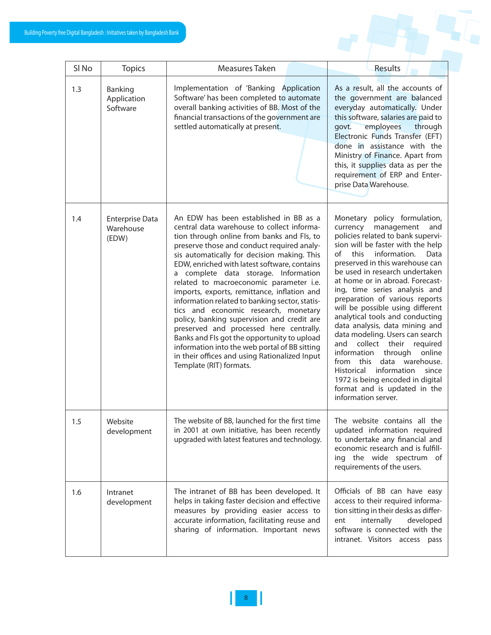$\overline{\mathsf{L}}$ 

 $\Gamma$ 

| Results |  |  |
|---------|--|--|

 $\top$ 

| SI <sub>No</sub> | <b>Topics</b>                                | Measures Taken                                                                                                                                                                                                                                                                                                                                                                                                                                                                                                                                                                                                                                                                                                                                                                   | Results                                                                                                                                                                                                                                                                                                                                                                                                                                                                                                                                                                                                                                                                                                                                 |
|------------------|----------------------------------------------|----------------------------------------------------------------------------------------------------------------------------------------------------------------------------------------------------------------------------------------------------------------------------------------------------------------------------------------------------------------------------------------------------------------------------------------------------------------------------------------------------------------------------------------------------------------------------------------------------------------------------------------------------------------------------------------------------------------------------------------------------------------------------------|-----------------------------------------------------------------------------------------------------------------------------------------------------------------------------------------------------------------------------------------------------------------------------------------------------------------------------------------------------------------------------------------------------------------------------------------------------------------------------------------------------------------------------------------------------------------------------------------------------------------------------------------------------------------------------------------------------------------------------------------|
| 1.3              | Banking<br>Application<br>Software           | Implementation of 'Banking Application<br>Software' has been completed to automate<br>overall banking activities of BB. Most of the<br>financial transactions of the government are<br>settled automatically at present.                                                                                                                                                                                                                                                                                                                                                                                                                                                                                                                                                         | As a result, all the accounts of<br>the government are balanced<br>everyday automatically. Under<br>this software, salaries are paid to<br>employees<br>govt.<br>through<br>Electronic Funds Transfer (EFT)<br>done in assistance with the<br>Ministry of Finance. Apart from<br>this, it supplies data as per the<br>requirement of ERP and Enter-<br>prise Data Warehouse.                                                                                                                                                                                                                                                                                                                                                            |
| 1.4              | <b>Enterprise Data</b><br>Warehouse<br>(EDW) | An EDW has been established in BB as a<br>central data warehouse to collect informa-<br>tion through online from banks and Fls, to<br>preserve those and conduct required analy-<br>sis automatically for decision making. This<br>EDW, enriched with latest software, contains<br>a complete data storage. Information<br>related to macroeconomic parameter i.e.<br>imports, exports, remittance, inflation and<br>information related to banking sector, statis-<br>tics and economic research, monetary<br>policy, banking supervision and credit are<br>preserved and processed here centrally.<br>Banks and FIs got the opportunity to upload<br>information into the web portal of BB sitting<br>in their offices and using Rationalized Input<br>Template (RIT) formats. | Monetary policy formulation,<br>management<br>and<br>currency<br>policies related to bank supervi-<br>sion will be faster with the help<br>of<br>information.<br>this<br>Data<br>preserved in this warehouse can<br>be used in research undertaken<br>at home or in abroad. Forecast-<br>ing, time series analysis and<br>preparation of various reports<br>will be possible using different<br>analytical tools and conducting<br>data analysis, data mining and<br>data modeling. Users can search<br>collect their<br>and<br>required<br>information through<br>online<br>from this data warehouse.<br>information<br>since<br>Historical<br>1972 is being encoded in digital<br>format and is updated in the<br>information server. |
| 1.5              | Website<br>development                       | The website of BB, launched for the first time<br>in 2001 at own initiative, has been recently<br>upgraded with latest features and technology.                                                                                                                                                                                                                                                                                                                                                                                                                                                                                                                                                                                                                                  | The website contains all the<br>updated information required<br>to undertake any financial and<br>economic research and is fulfill-<br>ing the wide spectrum of<br>requirements of the users.                                                                                                                                                                                                                                                                                                                                                                                                                                                                                                                                           |
| 1.6              | Intranet<br>development                      | The intranet of BB has been developed. It<br>helps in taking faster decision and effective<br>measures by providing easier access to<br>accurate information, facilitating reuse and<br>sharing of information. Important news                                                                                                                                                                                                                                                                                                                                                                                                                                                                                                                                                   | Officials of BB can have easy<br>access to their required informa-<br>tion sitting in their desks as differ-<br>internally<br>ent<br>developed<br>software is connected with the<br>intranet. Visitors access pass                                                                                                                                                                                                                                                                                                                                                                                                                                                                                                                      |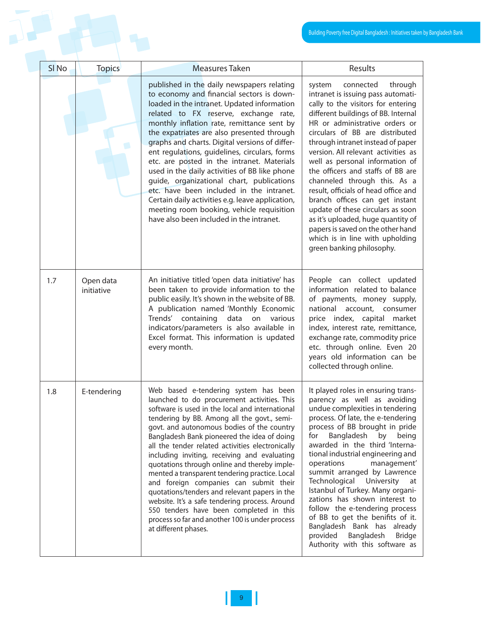|                  |                         |                                                                                                                                                                                                                                                                                                                                                                                                                                                                                                                                                                                                                                                                                                                                                              | Building Poverty free Digital Bangladesh : Initiatives taken b                                                                                                                                                                                                                                                                                                                                                                                                                                                                                                                                                                                                       |
|------------------|-------------------------|--------------------------------------------------------------------------------------------------------------------------------------------------------------------------------------------------------------------------------------------------------------------------------------------------------------------------------------------------------------------------------------------------------------------------------------------------------------------------------------------------------------------------------------------------------------------------------------------------------------------------------------------------------------------------------------------------------------------------------------------------------------|----------------------------------------------------------------------------------------------------------------------------------------------------------------------------------------------------------------------------------------------------------------------------------------------------------------------------------------------------------------------------------------------------------------------------------------------------------------------------------------------------------------------------------------------------------------------------------------------------------------------------------------------------------------------|
| SI <sub>No</sub> | <b>Topics</b>           | <b>Measures Taken</b>                                                                                                                                                                                                                                                                                                                                                                                                                                                                                                                                                                                                                                                                                                                                        | Results                                                                                                                                                                                                                                                                                                                                                                                                                                                                                                                                                                                                                                                              |
|                  |                         | published in the daily newspapers relating<br>to economy and financial sectors is down-<br>loaded in the intranet. Updated information<br>related to FX reserve, exchange rate,<br>monthly inflation rate, remittance sent by<br>the expatriates are also presented through<br>graphs and charts. Digital versions of differ-<br>ent regulations, guidelines, circulars, forms<br>etc. are posted in the intranet. Materials<br>used in the daily activities of BB like phone<br>guide, organizational chart, publications<br>etc. have been included in the intranet.<br>Certain daily activities e.g. leave application,<br>meeting room booking, vehicle requisition<br>have also been included in the intranet.                                          | through<br>system<br>connected<br>intranet is issuing pass automati-<br>cally to the visitors for entering<br>different buildings of BB. Internal<br>HR or administrative orders or<br>circulars of BB are distributed<br>through intranet instead of paper<br>version. All relevant activities as<br>well as personal information of<br>the officers and staffs of BB are<br>channeled through this. As a<br>result, officials of head office and<br>branch offices can get instant<br>update of these circulars as soon<br>as it's uploaded, huge quantity of<br>papers is saved on the other hand<br>which is in line with upholding<br>green banking philosophy. |
| 1.7              | Open data<br>initiative | An initiative titled 'open data initiative' has<br>been taken to provide information to the<br>public easily. It's shown in the website of BB.<br>A publication named 'Monthly Economic<br>Trends' containing data on various<br>indicators/parameters is also available in<br>Excel format. This information is updated<br>every month.                                                                                                                                                                                                                                                                                                                                                                                                                     | People can collect updated<br>information related to balance<br>of payments, money supply,<br>national account, consumer<br>price index, capital market<br>index, interest rate, remittance,<br>exchange rate, commodity price<br>etc. through online. Even 20<br>years old information can be<br>collected through online.                                                                                                                                                                                                                                                                                                                                          |
| 1.8              | E-tendering             | Web based e-tendering system has been<br>launched to do procurement activities. This<br>software is used in the local and international<br>tendering by BB. Among all the govt., semi-<br>govt. and autonomous bodies of the country<br>Bangladesh Bank pioneered the idea of doing<br>all the tender related activities electronically<br>including inviting, receiving and evaluating<br>quotations through online and thereby imple-<br>mented a transparent tendering practice. Local<br>and foreign companies can submit their<br>quotations/tenders and relevant papers in the<br>website. It's a safe tendering process. Around<br>550 tenders have been completed in this<br>process so far and another 100 is under process<br>at different phases. | It played roles in ensuring trans-<br>parency as well as avoiding<br>undue complexities in tendering<br>process. Of late, the e-tendering<br>process of BB brought in pride<br>Bangladesh by<br>for<br>being<br>awarded in the third 'Interna-<br>tional industrial engineering and<br>operations<br>management'<br>summit arranged by Lawrence<br>Technological University at<br>Istanbul of Turkey. Many organi-<br>zations has shown interest to<br>follow the e-tendering process<br>of BB to get the benifits of it.<br>Bangladesh Bank has already<br>provided Bangladesh<br><b>Bridge</b><br>Authority with this software as                                  |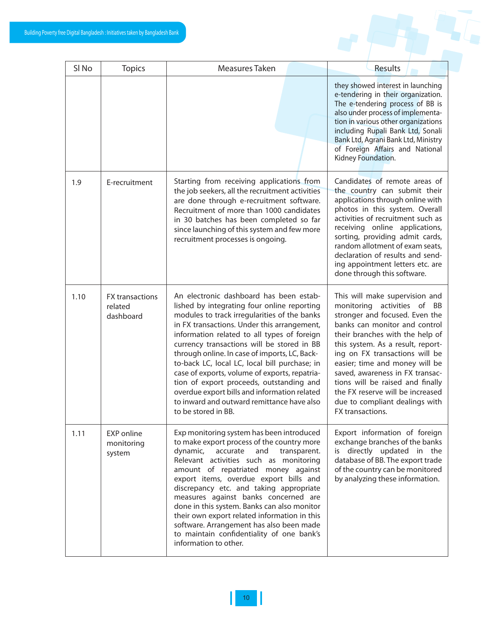|  |  | <u>and the second property</u> |
|--|--|--------------------------------|
|  |  |                                |

| SI <sub>No</sub> | <b>Topics</b>                                  | Measures Taken                                                                                                                                                                                                                                                                                                                                                                                                                                                                                                                                                                                         | Results                                                                                                                                                                                                                                                                                                                                                                                                                                       |
|------------------|------------------------------------------------|--------------------------------------------------------------------------------------------------------------------------------------------------------------------------------------------------------------------------------------------------------------------------------------------------------------------------------------------------------------------------------------------------------------------------------------------------------------------------------------------------------------------------------------------------------------------------------------------------------|-----------------------------------------------------------------------------------------------------------------------------------------------------------------------------------------------------------------------------------------------------------------------------------------------------------------------------------------------------------------------------------------------------------------------------------------------|
|                  |                                                |                                                                                                                                                                                                                                                                                                                                                                                                                                                                                                                                                                                                        | they showed interest in launching<br>e-tendering in their organization.<br>The e-tendering process of BB is<br>also under process of implementa-<br>tion in various other organizations<br>including Rupali Bank Ltd, Sonali<br>Bank Ltd, Agrani Bank Ltd, Ministry<br>of Foreign Affairs and National<br>Kidney Foundation.                                                                                                                  |
| 1.9              | E-recruitment                                  | Starting from receiving applications from<br>the job seekers, all the recruitment activities<br>are done through e-recruitment software.<br>Recruitment of more than 1000 candidates<br>in 30 batches has been completed so far<br>since launching of this system and few more<br>recruitment processes is ongoing.                                                                                                                                                                                                                                                                                    | Candidates of remote areas of<br>the country can submit their<br>applications through online with<br>photos in this system. Overall<br>activities of recruitment such as<br>receiving online applications,<br>sorting, providing admit cards,<br>random allotment of exam seats,<br>declaration of results and send-<br>ing appointment letters etc. are<br>done through this software.                                                       |
| 1.10             | <b>FX</b> transactions<br>related<br>dashboard | An electronic dashboard has been estab-<br>lished by integrating four online reporting<br>modules to track irregularities of the banks<br>in FX transactions. Under this arrangement,<br>information related to all types of foreign<br>currency transactions will be stored in BB<br>through online. In case of imports, LC, Back-<br>to-back LC, local LC, local bill purchase; in<br>case of exports, volume of exports, repatria-<br>tion of export proceeds, outstanding and<br>overdue export bills and information related<br>to inward and outward remittance have also<br>to be stored in BB. | This will make supervision and<br>monitoring activities of BB<br>stronger and focused. Even the<br>banks can monitor and control<br>their branches with the help of<br>this system. As a result, report-<br>ing on FX transactions will be<br>easier; time and money will be<br>saved, awareness in FX transac-<br>tions will be raised and finally<br>the FX reserve will be increased<br>due to compliant dealings with<br>FX transactions. |
| 1.11             | <b>EXP</b> online<br>monitoring<br>system      | Exp monitoring system has been introduced<br>to make export process of the country more<br>and<br>dynamic,<br>accurate<br>transparent.<br>Relevant activities such as monitoring<br>amount of repatriated money against<br>export items, overdue export bills and<br>discrepancy etc. and taking appropriate<br>measures against banks concerned are<br>done in this system. Banks can also monitor<br>their own export related information in this<br>software. Arrangement has also been made<br>to maintain confidentiality of one bank's<br>information to other.                                  | Export information of foreign<br>exchange branches of the banks<br>is directly updated in the<br>database of BB. The export trade<br>of the country can be monitored<br>by analyzing these information.                                                                                                                                                                                                                                       |

 $\mathsf{I}\mathsf{I}$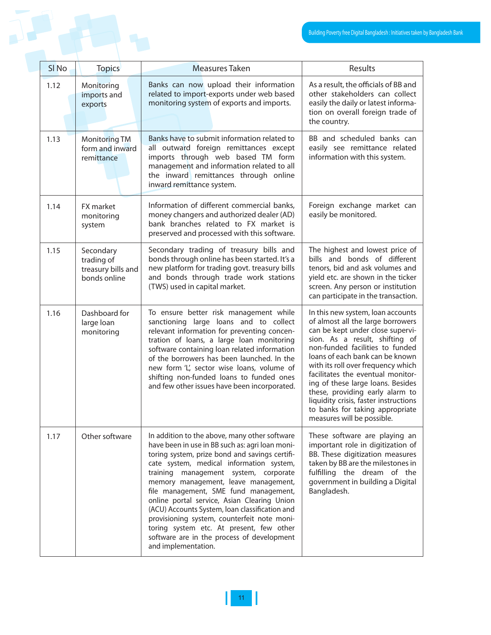|  |                  |                                                               |                                                                                                                                                                                                                                                                                                                                                                                                                                                                                                                                                                                           | Building Poverty free Digital Bangladesh: Initiatives taken                                                                                                                                                                                                                                                                                                                                                                                                                     |
|--|------------------|---------------------------------------------------------------|-------------------------------------------------------------------------------------------------------------------------------------------------------------------------------------------------------------------------------------------------------------------------------------------------------------------------------------------------------------------------------------------------------------------------------------------------------------------------------------------------------------------------------------------------------------------------------------------|---------------------------------------------------------------------------------------------------------------------------------------------------------------------------------------------------------------------------------------------------------------------------------------------------------------------------------------------------------------------------------------------------------------------------------------------------------------------------------|
|  |                  |                                                               |                                                                                                                                                                                                                                                                                                                                                                                                                                                                                                                                                                                           |                                                                                                                                                                                                                                                                                                                                                                                                                                                                                 |
|  | SI <sub>No</sub> | <b>Topics</b>                                                 | <b>Measures Taken</b>                                                                                                                                                                                                                                                                                                                                                                                                                                                                                                                                                                     | Results                                                                                                                                                                                                                                                                                                                                                                                                                                                                         |
|  | 1.12             | Monitoring<br>imports and<br>exports                          | Banks can now upload their information<br>related to import-exports under web based<br>monitoring system of exports and imports.                                                                                                                                                                                                                                                                                                                                                                                                                                                          | As a result, the officials of BB and<br>other stakeholders can collect<br>easily the daily or latest informa-<br>tion on overall foreign trade of<br>the country.                                                                                                                                                                                                                                                                                                               |
|  | 1.13             | <b>Monitoring TM</b><br>form and inward<br>remittance         | Banks have to submit information related to<br>all outward foreign remittances except<br>imports through web based TM form<br>management and information related to all<br>the inward remittances through online<br>inward remittance system.                                                                                                                                                                                                                                                                                                                                             | BB and scheduled banks can<br>easily see remittance related<br>information with this system.                                                                                                                                                                                                                                                                                                                                                                                    |
|  | 1.14             | FX market<br>monitoring<br>system                             | Information of different commercial banks,<br>money changers and authorized dealer (AD)<br>bank branches related to FX market is<br>preserved and processed with this software.                                                                                                                                                                                                                                                                                                                                                                                                           | Foreign exchange market can<br>easily be monitored.                                                                                                                                                                                                                                                                                                                                                                                                                             |
|  | 1.15             | Secondary<br>trading of<br>treasury bills and<br>bonds online | Secondary trading of treasury bills and<br>bonds through online has been started. It's a<br>new platform for trading govt. treasury bills<br>and bonds through trade work stations<br>(TWS) used in capital market.                                                                                                                                                                                                                                                                                                                                                                       | The highest and lowest price of<br>bills and bonds of different<br>tenors, bid and ask volumes and<br>yield etc. are shown in the ticker<br>screen. Any person or institution<br>can participate in the transaction.                                                                                                                                                                                                                                                            |
|  | 1.16             | Dashboard for<br>large loan<br>monitoring                     | To ensure better risk management while<br>sanctioning large loans and to collect<br>relevant information for preventing concen-<br>tration of loans, a large loan monitoring<br>software containing loan related information<br>of the borrowers has been launched. In the<br>new form 'L', sector wise loans, volume of<br>shifting non-funded loans to funded ones<br>and few other issues have been incorporated.                                                                                                                                                                      | In this new system, loan accounts<br>of almost all the large borrowers<br>can be kept under close supervi-<br>sion. As a result, shifting of<br>non-funded facilities to funded<br>loans of each bank can be known<br>with its roll over frequency which<br>facilitates the eventual monitor-<br>ing of these large loans. Besides<br>these, providing early alarm to<br>liquidity crisis, faster instructions<br>to banks for taking appropriate<br>measures will be possible. |
|  | 1.17             | Other software                                                | In addition to the above, many other software<br>have been in use in BB such as: agri loan moni-<br>toring system, prize bond and savings certifi-<br>cate system, medical information system,<br>training management system, corporate<br>memory management, leave management,<br>file management, SME fund management,<br>online portal service, Asian Clearing Union<br>(ACU) Accounts System, loan classification and<br>provisioning system, counterfeit note moni-<br>toring system etc. At present, few other<br>software are in the process of development<br>and implementation. | These software are playing an<br>important role in digitization of<br>BB. These digitization measures<br>taken by BB are the milestones in<br>fulfilling the dream of the<br>government in building a Digital<br>Bangladesh.                                                                                                                                                                                                                                                    |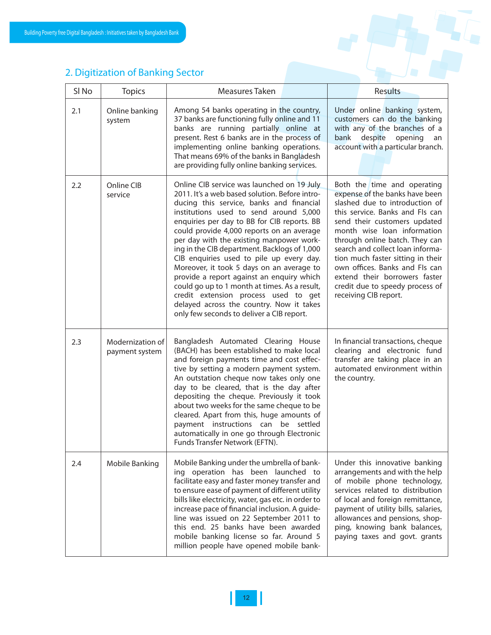### 2. Digitization of Banking Sector

| SI <sub>No</sub> | <b>Topics</b>                      | Measures Taken                                                                                                                                                                                                                                                                                                                                                                                                                                                                                                                                                                                                                                                                                     | Results                                                                                                                                                                                                                                                                                                                                                                                                                                     |
|------------------|------------------------------------|----------------------------------------------------------------------------------------------------------------------------------------------------------------------------------------------------------------------------------------------------------------------------------------------------------------------------------------------------------------------------------------------------------------------------------------------------------------------------------------------------------------------------------------------------------------------------------------------------------------------------------------------------------------------------------------------------|---------------------------------------------------------------------------------------------------------------------------------------------------------------------------------------------------------------------------------------------------------------------------------------------------------------------------------------------------------------------------------------------------------------------------------------------|
| 2.1              | Online banking<br>system           | Among 54 banks operating in the country,<br>37 banks are functioning fully online and 11<br>banks are running partially online at<br>present. Rest 6 banks are in the process of<br>implementing online banking operations.<br>That means 69% of the banks in Bangladesh<br>are providing fully online banking services.                                                                                                                                                                                                                                                                                                                                                                           | Under online banking system,<br>customers can do the banking<br>with any of the branches of a<br>bank despite opening<br>an<br>account with a particular branch.                                                                                                                                                                                                                                                                            |
| 2.2              | Online CIB<br>service              | Online CIB service was launched on 19 July<br>2011. It's a web based solution. Before intro-<br>ducing this service, banks and financial<br>institutions used to send around 5,000<br>enquiries per day to BB for CIB reports. BB<br>could provide 4,000 reports on an average<br>per day with the existing manpower work-<br>ing in the CIB department. Backlogs of 1,000<br>CIB enquiries used to pile up every day.<br>Moreover, it took 5 days on an average to<br>provide a report against an enquiry which<br>could go up to 1 month at times. As a result,<br>credit extension process used to get<br>delayed across the country. Now it takes<br>only few seconds to deliver a CIB report. | Both the time and operating<br>expense of the banks have been<br>slashed due to introduction of<br>this service. Banks and Fls can<br>send their customers updated<br>month wise loan information<br>through online batch. They can<br>search and collect loan informa-<br>tion much faster sitting in their<br>own offices. Banks and FIs can<br>extend their borrowers faster<br>credit due to speedy process of<br>receiving CIB report. |
| 2.3              | Modernization of<br>payment system | Bangladesh Automated Clearing House<br>(BACH) has been established to make local<br>and foreign payments time and cost effec-<br>tive by setting a modern payment system.<br>An outstation cheque now takes only one<br>day to be cleared, that is the day after<br>depositing the cheque. Previously it took<br>about two weeks for the same cheque to be<br>cleared. Apart from this, huge amounts of<br>payment instructions can be settled<br>automatically in one go through Electronic<br>Funds Transfer Network (EFTN).                                                                                                                                                                     | In financial transactions, cheque<br>clearing and electronic fund<br>transfer are taking place in an<br>automated environment within<br>the country.                                                                                                                                                                                                                                                                                        |
| 2.4              | Mobile Banking                     | Mobile Banking under the umbrella of bank-<br>ing operation has been launched to<br>facilitate easy and faster money transfer and<br>to ensure ease of payment of different utility<br>bills like electricity, water, gas etc. in order to<br>increase pace of financial inclusion. A guide-<br>line was issued on 22 September 2011 to<br>this end. 25 banks have been awarded<br>mobile banking license so far. Around 5<br>million people have opened mobile bank-                                                                                                                                                                                                                              | Under this innovative banking<br>arrangements and with the help<br>of mobile phone technology,<br>services related to distribution<br>of local and foreign remittance,<br>payment of utility bills, salaries,<br>allowances and pensions, shop-<br>ping, knowing bank balances,<br>paying taxes and govt. grants                                                                                                                            |

L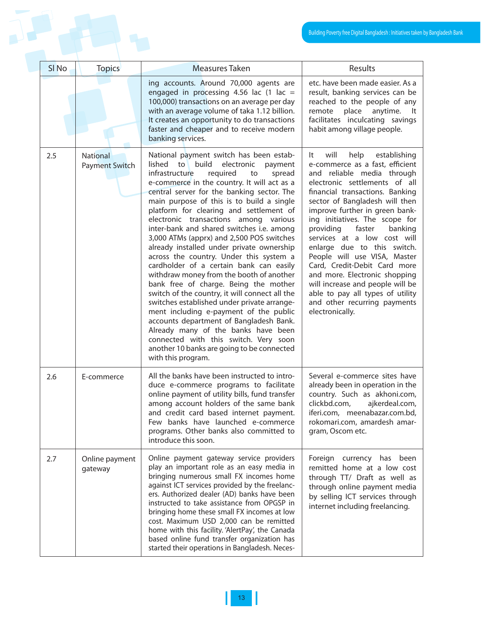|     |                  |                                          |                                                                                                                                                                                                                                                                                                                                                                                                                                                                                                                                                                                                                                                                                                                                                                                                                                                                                                                                                                                                                                   | Building Poverty free Digital Bangladesh : Initiatives taken b                                                                                                                                                                                                                                                                                                                                                                                                                                                                                                                                             |
|-----|------------------|------------------------------------------|-----------------------------------------------------------------------------------------------------------------------------------------------------------------------------------------------------------------------------------------------------------------------------------------------------------------------------------------------------------------------------------------------------------------------------------------------------------------------------------------------------------------------------------------------------------------------------------------------------------------------------------------------------------------------------------------------------------------------------------------------------------------------------------------------------------------------------------------------------------------------------------------------------------------------------------------------------------------------------------------------------------------------------------|------------------------------------------------------------------------------------------------------------------------------------------------------------------------------------------------------------------------------------------------------------------------------------------------------------------------------------------------------------------------------------------------------------------------------------------------------------------------------------------------------------------------------------------------------------------------------------------------------------|
|     | SI <sub>No</sub> | <b>Topics</b>                            | Measures Taken                                                                                                                                                                                                                                                                                                                                                                                                                                                                                                                                                                                                                                                                                                                                                                                                                                                                                                                                                                                                                    | Results                                                                                                                                                                                                                                                                                                                                                                                                                                                                                                                                                                                                    |
|     |                  |                                          | ing accounts. Around 70,000 agents are<br>engaged in processing 4.56 lac $(1 \text{ lac} =$<br>100,000) transactions on an average per day<br>with an average volume of taka 1.12 billion.<br>It creates an opportunity to do transactions<br>faster and cheaper and to receive modern<br>banking services.                                                                                                                                                                                                                                                                                                                                                                                                                                                                                                                                                                                                                                                                                                                       | etc. have been made easier. As a<br>result, banking services can be<br>reached to the people of any<br>remote<br>place<br>anytime.<br>-lt<br>facilitates inculcating savings<br>habit among village people.                                                                                                                                                                                                                                                                                                                                                                                                |
| 2.5 |                  | <b>National</b><br><b>Payment Switch</b> | National payment switch has been estab-<br>build<br>lished<br>to<br>electronic<br>payment<br>infrastructure<br>required<br>spread<br>to<br>e-commerce in the country. It will act as a<br>central server for the banking sector. The<br>main purpose of this is to build a single<br>platform for clearing and settlement of<br>electronic transactions among various<br>inter-bank and shared switches i.e. among<br>3,000 ATMs (apprx) and 2,500 POS switches<br>already installed under private ownership<br>across the country. Under this system a<br>cardholder of a certain bank can easily<br>withdraw money from the booth of another<br>bank free of charge. Being the mother<br>switch of the country, it will connect all the<br>switches established under private arrange-<br>ment including e-payment of the public<br>accounts department of Bangladesh Bank.<br>Already many of the banks have been<br>connected with this switch. Very soon<br>another 10 banks are going to be connected<br>with this program. | help<br>will<br>establishing<br>lt.<br>e-commerce as a fast, efficient<br>and reliable media through<br>electronic settlements of all<br>financial transactions. Banking<br>sector of Bangladesh will then<br>improve further in green bank-<br>ing initiatives. The scope for<br>providing<br>faster<br>banking<br>services at a low cost will<br>enlarge due to this switch.<br>People will use VISA, Master<br>Card, Credit-Debit Card more<br>and more. Electronic shopping<br>will increase and people will be<br>able to pay all types of utility<br>and other recurring payments<br>electronically. |
| 2.6 |                  | E-commerce                               | All the banks have been instructed to intro-<br>duce e-commerce programs to facilitate<br>online payment of utility bills, fund transfer<br>among account holders of the same bank<br>and credit card based internet payment.<br>Few banks have launched e-commerce<br>programs. Other banks also committed to<br>introduce this soon.                                                                                                                                                                                                                                                                                                                                                                                                                                                                                                                                                                                                                                                                                            | Several e-commerce sites have<br>already been in operation in the<br>country. Such as akhoni.com,<br>clickbd.com,<br>ajkerdeal.com,<br>iferi.com, meenabazar.com.bd,<br>rokomari.com, amardesh amar-<br>gram, Oscom etc.                                                                                                                                                                                                                                                                                                                                                                                   |
| 2.7 |                  | Online payment<br>gateway                | Online payment gateway service providers<br>play an important role as an easy media in<br>bringing numerous small FX incomes home<br>against ICT services provided by the freelanc-<br>ers. Authorized dealer (AD) banks have been<br>instructed to take assistance from OPGSP in<br>bringing home these small FX incomes at low<br>cost. Maximum USD 2,000 can be remitted<br>home with this facility. 'AlertPay', the Canada<br>based online fund transfer organization has<br>started their operations in Bangladesh. Neces-                                                                                                                                                                                                                                                                                                                                                                                                                                                                                                   | Foreign currency has been<br>remitted home at a low cost<br>through TT/ Draft as well as<br>through online payment media<br>by selling ICT services through<br>internet including freelancing.                                                                                                                                                                                                                                                                                                                                                                                                             |

 $\mathbf{l}$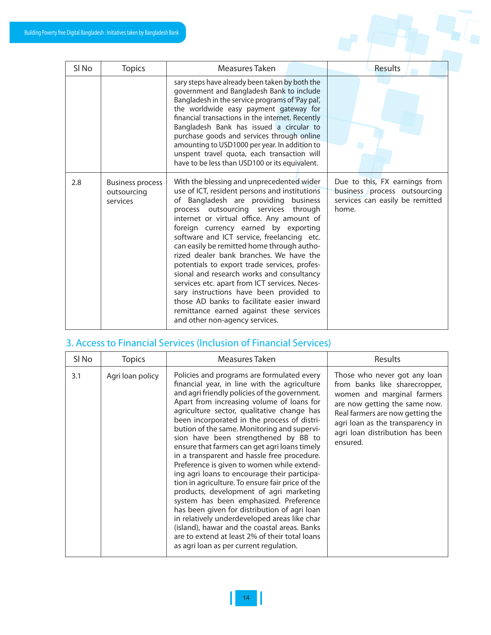

| SI <sub>No</sub> | <b>Topics</b>                                      | Measures Taken                                                                                                                                                                                                                                                                                                                                                                                                                                                                                                                                                                                                                                                                                                              | Results                                                                                                   |
|------------------|----------------------------------------------------|-----------------------------------------------------------------------------------------------------------------------------------------------------------------------------------------------------------------------------------------------------------------------------------------------------------------------------------------------------------------------------------------------------------------------------------------------------------------------------------------------------------------------------------------------------------------------------------------------------------------------------------------------------------------------------------------------------------------------------|-----------------------------------------------------------------------------------------------------------|
|                  |                                                    | sary steps have already been taken by both the<br>government and Bangladesh Bank to include<br>Bangladesh in the service programs of 'Pay pal',<br>the worldwide easy payment gateway for<br>financial transactions in the internet. Recently<br>Bangladesh Bank has issued a circular to<br>purchase goods and services through online<br>amounting to USD1000 per year. In addition to<br>unspent travel quota, each transaction will<br>have to be less than USD100 or its equivalent.                                                                                                                                                                                                                                   |                                                                                                           |
| 2.8              | <b>Business process</b><br>outsourcing<br>services | With the blessing and unprecedented wider<br>use of ICT, resident persons and institutions<br>of Bangladesh are providing business<br>process outsourcing services through<br>internet or virtual office. Any amount of<br>foreign currency earned by exporting<br>software and ICT service, freelancing etc.<br>can easily be remitted home through autho-<br>rized dealer bank branches. We have the<br>potentials to export trade services, profes-<br>sional and research works and consultancy<br>services etc. apart from ICT services. Neces-<br>sary instructions have been provided to<br>those AD banks to facilitate easier inward<br>remittance earned against these services<br>and other non-agency services. | Due to this, FX earnings from<br>business process outsourcing<br>services can easily be remitted<br>home. |

# 3. Access to Financial Services (Inclusion of Financial Services)

| Sl No | Topics           | Measures Taken                                                                                                                                                                                                                                                                                                                                                                                                                                                                                                                                                                                                                                                                                                                                                                                                                                                                                                                                                   | Results                                                                                                                                                                                                                                             |
|-------|------------------|------------------------------------------------------------------------------------------------------------------------------------------------------------------------------------------------------------------------------------------------------------------------------------------------------------------------------------------------------------------------------------------------------------------------------------------------------------------------------------------------------------------------------------------------------------------------------------------------------------------------------------------------------------------------------------------------------------------------------------------------------------------------------------------------------------------------------------------------------------------------------------------------------------------------------------------------------------------|-----------------------------------------------------------------------------------------------------------------------------------------------------------------------------------------------------------------------------------------------------|
| 3.1   | Agri loan policy | Policies and programs are formulated every<br>financial year, in line with the agriculture<br>and agri friendly policies of the government.<br>Apart from increasing volume of loans for<br>agriculture sector, qualitative change has<br>been incorporated in the process of distri-<br>bution of the same. Monitoring and supervi-<br>sion have been strengthened by BB to<br>ensure that farmers can get agri loans timely<br>in a transparent and hassle free procedure.<br>Preference is given to women while extend-<br>ing agri loans to encourage their participa-<br>tion in agriculture. To ensure fair price of the<br>products, development of agri marketing<br>system has been emphasized. Preference<br>has been given for distribution of agri loan<br>in relatively underdeveloped areas like char<br>(island), hawar and the coastal areas. Banks<br>are to extend at least 2% of their total loans<br>as agri loan as per current regulation. | Those who never got any loan<br>from banks like sharecropper,<br>women and marginal farmers<br>are now getting the same now.<br>Real farmers are now getting the<br>agri loan as the transparency in<br>agri loan distribution has been<br>ensured. |

Ш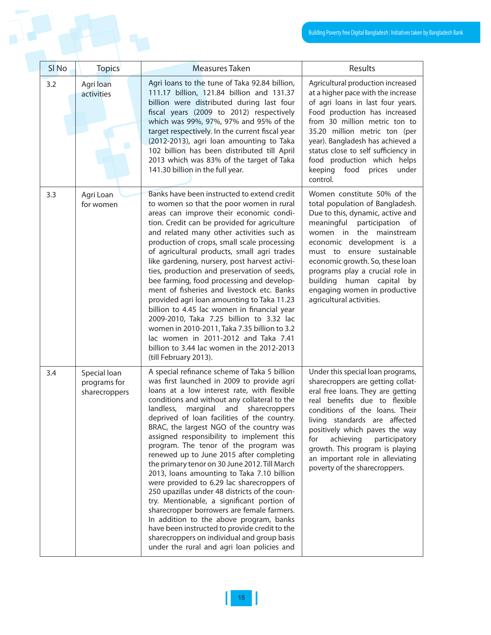|                  |                                               |                                                                                                                                                                                                                                                                                                                                                                                                                                                                                                                                                                                                                                                                                                                                                                                                                                                                                                                                                      | Building Poverty free Digital Bangladesh : Initiatives taken                                                                                                                                                                                                                                                                                                                                    |
|------------------|-----------------------------------------------|------------------------------------------------------------------------------------------------------------------------------------------------------------------------------------------------------------------------------------------------------------------------------------------------------------------------------------------------------------------------------------------------------------------------------------------------------------------------------------------------------------------------------------------------------------------------------------------------------------------------------------------------------------------------------------------------------------------------------------------------------------------------------------------------------------------------------------------------------------------------------------------------------------------------------------------------------|-------------------------------------------------------------------------------------------------------------------------------------------------------------------------------------------------------------------------------------------------------------------------------------------------------------------------------------------------------------------------------------------------|
|                  |                                               |                                                                                                                                                                                                                                                                                                                                                                                                                                                                                                                                                                                                                                                                                                                                                                                                                                                                                                                                                      |                                                                                                                                                                                                                                                                                                                                                                                                 |
| SI <sub>No</sub> | <b>Topics</b>                                 | Measures Taken                                                                                                                                                                                                                                                                                                                                                                                                                                                                                                                                                                                                                                                                                                                                                                                                                                                                                                                                       | Results                                                                                                                                                                                                                                                                                                                                                                                         |
| 3.2              | Agri loan<br>activities                       | Agri loans to the tune of Taka 92.84 billion,<br>111.17 billion, 121.84 billion and 131.37<br>billion were distributed during last four<br>fiscal years (2009 to 2012) respectively<br>which was 99%, 97%, 97% and 95% of the<br>target respectively. In the current fiscal year<br>(2012-2013), agri loan amounting to Taka<br>102 billion has been distributed till April<br>2013 which was 83% of the target of Taka<br>141.30 billion in the full year.                                                                                                                                                                                                                                                                                                                                                                                                                                                                                          | Agricultural production increased<br>at a higher pace with the increase<br>of agri loans in last four years.<br>Food production has increased<br>from 30 million metric ton to<br>35.20 million metric ton (per<br>year). Bangladesh has achieved a<br>status close to self sufficiency in<br>food production which helps<br>keeping<br>food prices<br>under<br>control.                        |
| 3.3              | Agri Loan<br>for women                        | Banks have been instructed to extend credit<br>to women so that the poor women in rural<br>areas can improve their economic condi-<br>tion. Credit can be provided for agriculture<br>and related many other activities such as<br>production of crops, small scale processing<br>of agricultural products, small agri trades<br>like gardening, nursery, post harvest activi-<br>ties, production and preservation of seeds,<br>bee farming, food processing and develop-<br>ment of fisheries and livestock etc. Banks<br>provided agri loan amounting to Taka 11.23<br>billion to 4.45 lac women in financial year<br>2009-2010, Taka 7.25 billion to 3.32 lac<br>women in 2010-2011, Taka 7.35 billion to 3.2<br>lac women in 2011-2012 and Taka 7.41<br>billion to 3.44 lac women in the 2012-2013<br>(till February 2013).                                                                                                                     | Women constitute 50% of the<br>total population of Bangladesh.<br>Due to this, dynamic, active and<br>meaningful<br>participation<br>of<br>women in the mainstream<br>economic development is a<br>must to ensure sustainable<br>economic growth. So, these loan<br>programs play a crucial role in<br>building<br>human capital by<br>engaging women in productive<br>agricultural activities. |
| 3.4              | Special loan<br>programs for<br>sharecroppers | A special refinance scheme of Taka 5 billion<br>was first launched in 2009 to provide agri<br>loans at a low interest rate, with flexible<br>conditions and without any collateral to the<br>landless,<br>marginal and sharecroppers<br>deprived of loan facilities of the country.<br>BRAC, the largest NGO of the country was<br>assigned responsibility to implement this<br>program. The tenor of the program was<br>renewed up to June 2015 after completing<br>the primary tenor on 30 June 2012. Till March<br>2013, Ioans amounting to Taka 7.10 billion<br>were provided to 6.29 lac sharecroppers of<br>250 upazillas under 48 districts of the coun-<br>try. Mentionable, a significant portion of<br>sharecropper borrowers are female farmers.<br>In addition to the above program, banks<br>have been instructed to provide credit to the<br>sharecroppers on individual and group basis<br>under the rural and agri loan policies and | Under this special loan programs,<br>sharecroppers are getting collat-<br>eral free loans. They are getting<br>real benefits due to flexible<br>conditions of the loans. Their<br>living standards are affected<br>positively which paves the way<br>for<br>achieving<br>participatory<br>growth. This program is playing<br>an important role in alleviating<br>poverty of the sharecroppers.  |

 $\mathbb I$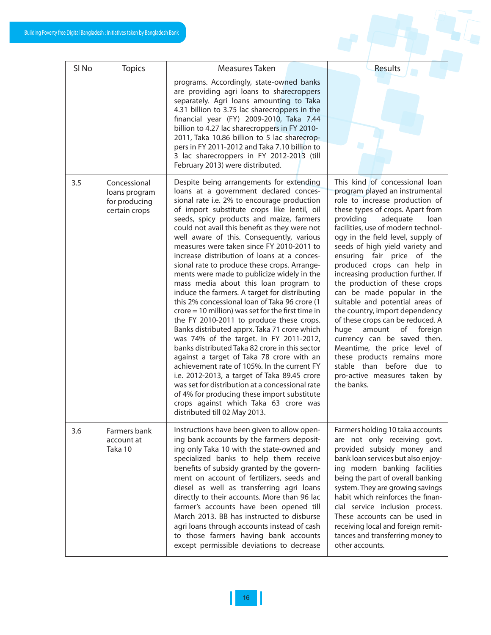

| SI <sub>No</sub> | <b>Topics</b>                                                   | Measures Taken                                                                                                                                                                                                                                                                                                                                                                                                                                                                                                                                                                                                                                                                                                                                                                                                                                                                                                                                                                                                                                                                                                                                                                                                                                       | Results                                                                                                                                                                                                                                                                                                                                                                                                                                                                                                                                                                                                                                                                                                                                                                    |
|------------------|-----------------------------------------------------------------|------------------------------------------------------------------------------------------------------------------------------------------------------------------------------------------------------------------------------------------------------------------------------------------------------------------------------------------------------------------------------------------------------------------------------------------------------------------------------------------------------------------------------------------------------------------------------------------------------------------------------------------------------------------------------------------------------------------------------------------------------------------------------------------------------------------------------------------------------------------------------------------------------------------------------------------------------------------------------------------------------------------------------------------------------------------------------------------------------------------------------------------------------------------------------------------------------------------------------------------------------|----------------------------------------------------------------------------------------------------------------------------------------------------------------------------------------------------------------------------------------------------------------------------------------------------------------------------------------------------------------------------------------------------------------------------------------------------------------------------------------------------------------------------------------------------------------------------------------------------------------------------------------------------------------------------------------------------------------------------------------------------------------------------|
|                  |                                                                 | programs. Accordingly, state-owned banks<br>are providing agri loans to sharecroppers<br>separately. Agri loans amounting to Taka<br>4.31 billion to 3.75 lac sharecroppers in the<br>financial year (FY) 2009-2010, Taka 7.44<br>billion to 4.27 lac sharecroppers in FY 2010-<br>2011, Taka 10.86 billion to 5 lac sharecrop-<br>pers in FY 2011-2012 and Taka 7.10 billion to<br>3 lac sharecroppers in FY 2012-2013 (till<br>February 2013) were distributed.                                                                                                                                                                                                                                                                                                                                                                                                                                                                                                                                                                                                                                                                                                                                                                                    |                                                                                                                                                                                                                                                                                                                                                                                                                                                                                                                                                                                                                                                                                                                                                                            |
| 3.5              | Concessional<br>loans program<br>for producing<br>certain crops | Despite being arrangements for extending<br>loans at a government declared conces-<br>sional rate i.e. 2% to encourage production<br>of import substitute crops like lentil, oil<br>seeds, spicy products and maize, farmers<br>could not avail this benefit as they were not<br>well aware of this. Consequently, various<br>measures were taken since FY 2010-2011 to<br>increase distribution of loans at a conces-<br>sional rate to produce these crops. Arrange-<br>ments were made to publicize widely in the<br>mass media about this loan program to<br>induce the farmers. A target for distributing<br>this 2% concessional loan of Taka 96 crore (1<br>$\text{core} = 10 \text{ million}$ was set for the first time in<br>the FY 2010-2011 to produce these crops.<br>Banks distributed apprx. Taka 71 crore which<br>was 74% of the target. In FY 2011-2012,<br>banks distributed Taka 82 crore in this sector<br>against a target of Taka 78 crore with an<br>achievement rate of 105%. In the current FY<br>i.e. 2012-2013, a target of Taka 89.45 crore<br>was set for distribution at a concessional rate<br>of 4% for producing these import substitute<br>crops against which Taka 63 crore was<br>distributed till 02 May 2013. | This kind of concessional loan<br>program played an instrumental<br>role to increase production of<br>these types of crops. Apart from<br>providing<br>adequate<br>loan<br>facilities, use of modern technol-<br>ogy in the field level, supply of<br>seeds of high yield variety and<br>ensuring fair price of the<br>produced crops can help in<br>increasing production further. If<br>the production of these crops<br>can be made popular in the<br>suitable and potential areas of<br>the country, import dependency<br>of these crops can be reduced. A<br>huge<br>amount<br>of<br>foreign<br>currency can be saved then.<br>Meantime, the price level of<br>these products remains more<br>stable than before due to<br>pro-active measures taken by<br>the banks. |
| 3.6              | Farmers bank<br>account at<br>Taka 10                           | Instructions have been given to allow open-<br>ing bank accounts by the farmers deposit-<br>ing only Taka 10 with the state-owned and<br>specialized banks to help them receive<br>benefits of subsidy granted by the govern-<br>ment on account of fertilizers, seeds and<br>diesel as well as transferring agri loans<br>directly to their accounts. More than 96 lac<br>farmer's accounts have been opened till<br>March 2013. BB has instructed to disburse<br>agri loans through accounts instead of cash<br>to those farmers having bank accounts<br>except permissible deviations to decrease                                                                                                                                                                                                                                                                                                                                                                                                                                                                                                                                                                                                                                                 | Farmers holding 10 taka accounts<br>are not only receiving govt.<br>provided subsidy money and<br>bank loan services but also enjoy-<br>ing modern banking facilities<br>being the part of overall banking<br>system. They are growing savings<br>habit which reinforces the finan-<br>cial service inclusion process.<br>These accounts can be used in<br>receiving local and foreign remit-<br>tances and transferring money to<br>other accounts.                                                                                                                                                                                                                                                                                                                       |

 $\mathsf{I}\mathsf{I}$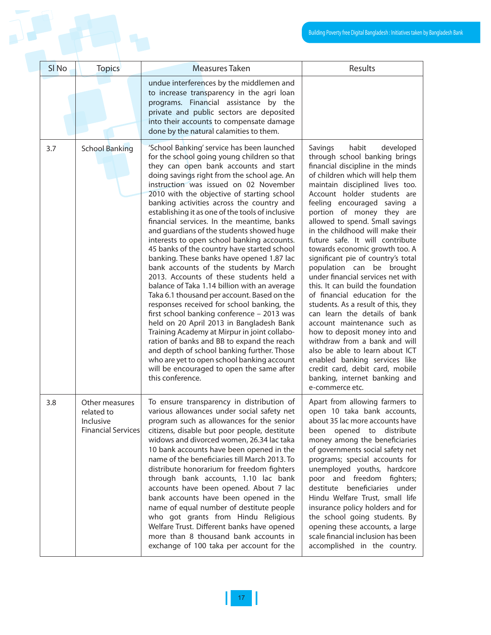|                  |                                                                        |                                                                                                                                                                                                                                                                                                                                                                                                                                                                                                                                                                                                                                                                                                                                                                                                                                                                                                                                                                                                                                                                                                                                                                                                       | Building Poverty free Digital Bangladesh : Initiatives taken I                                                                                                                                                                                                                                                                                                                                                                                                                                                                                                                                                                                                                                                                                                                                                                                                                                                                       |
|------------------|------------------------------------------------------------------------|-------------------------------------------------------------------------------------------------------------------------------------------------------------------------------------------------------------------------------------------------------------------------------------------------------------------------------------------------------------------------------------------------------------------------------------------------------------------------------------------------------------------------------------------------------------------------------------------------------------------------------------------------------------------------------------------------------------------------------------------------------------------------------------------------------------------------------------------------------------------------------------------------------------------------------------------------------------------------------------------------------------------------------------------------------------------------------------------------------------------------------------------------------------------------------------------------------|--------------------------------------------------------------------------------------------------------------------------------------------------------------------------------------------------------------------------------------------------------------------------------------------------------------------------------------------------------------------------------------------------------------------------------------------------------------------------------------------------------------------------------------------------------------------------------------------------------------------------------------------------------------------------------------------------------------------------------------------------------------------------------------------------------------------------------------------------------------------------------------------------------------------------------------|
|                  |                                                                        |                                                                                                                                                                                                                                                                                                                                                                                                                                                                                                                                                                                                                                                                                                                                                                                                                                                                                                                                                                                                                                                                                                                                                                                                       |                                                                                                                                                                                                                                                                                                                                                                                                                                                                                                                                                                                                                                                                                                                                                                                                                                                                                                                                      |
| SI <sub>No</sub> | <b>Topics</b>                                                          | <b>Measures Taken</b>                                                                                                                                                                                                                                                                                                                                                                                                                                                                                                                                                                                                                                                                                                                                                                                                                                                                                                                                                                                                                                                                                                                                                                                 | Results                                                                                                                                                                                                                                                                                                                                                                                                                                                                                                                                                                                                                                                                                                                                                                                                                                                                                                                              |
|                  |                                                                        | undue interferences by the middlemen and<br>to increase transparency in the agri loan<br>programs. Financial assistance by the<br>private and public sectors are deposited<br>into their accounts to compensate damage<br>done by the natural calamities to them.                                                                                                                                                                                                                                                                                                                                                                                                                                                                                                                                                                                                                                                                                                                                                                                                                                                                                                                                     |                                                                                                                                                                                                                                                                                                                                                                                                                                                                                                                                                                                                                                                                                                                                                                                                                                                                                                                                      |
| 3.7              | <b>School Banking</b>                                                  | 'School Banking' service has been launched<br>for the school going young children so that<br>they can open bank accounts and start<br>doing savings right from the school age. An<br>instruction was issued on 02 November<br>2010 with the objective of starting school<br>banking activities across the country and<br>establishing it as one of the tools of inclusive<br>financial services. In the meantime, banks<br>and guardians of the students showed huge<br>interests to open school banking accounts.<br>45 banks of the country have started school<br>banking. These banks have opened 1.87 lac<br>bank accounts of the students by March<br>2013. Accounts of these students held a<br>balance of Taka 1.14 billion with an average<br>Taka 6.1 thousand per account. Based on the<br>responses received for school banking, the<br>first school banking conference - 2013 was<br>held on 20 April 2013 in Bangladesh Bank<br>Training Academy at Mirpur in joint collabo-<br>ration of banks and BB to expand the reach<br>and depth of school banking further. Those<br>who are yet to open school banking account<br>will be encouraged to open the same after<br>this conference. | developed<br>Savings<br>habit<br>through school banking brings<br>financial discipline in the minds<br>of children which will help them<br>maintain disciplined lives too.<br>Account holder students are<br>feeling encouraged saving a<br>portion of money they are<br>allowed to spend. Small savings<br>in the childhood will make their<br>future safe. It will contribute<br>towards economic growth too. A<br>significant pie of country's total<br>population can be brought<br>under financial services net with<br>this. It can build the foundation<br>of financial education for the<br>students. As a result of this, they<br>can learn the details of bank<br>account maintenance such as<br>how to deposit money into and<br>withdraw from a bank and will<br>also be able to learn about ICT<br>enabled banking services like<br>credit card, debit card, mobile<br>banking, internet banking and<br>e-commerce etc. |
| 3.8              | Other measures<br>related to<br>Inclusive<br><b>Financial Services</b> | To ensure transparency in distribution of<br>various allowances under social safety net<br>program such as allowances for the senior<br>citizens, disable but poor people, destitute<br>widows and divorced women, 26.34 lac taka<br>10 bank accounts have been opened in the<br>name of the beneficiaries till March 2013. To<br>distribute honorarium for freedom fighters<br>through bank accounts, 1.10 lac bank<br>accounts have been opened. About 7 lac<br>bank accounts have been opened in the<br>name of equal number of destitute people<br>who got grants from Hindu Religious<br>Welfare Trust. Different banks have opened<br>more than 8 thousand bank accounts in<br>exchange of 100 taka per account for the                                                                                                                                                                                                                                                                                                                                                                                                                                                                         | Apart from allowing farmers to<br>open 10 taka bank accounts,<br>about 35 lac more accounts have<br>been opened to distribute<br>money among the beneficiaries<br>of governments social safety net<br>programs; special accounts for<br>unemployed youths, hardcore<br>poor and freedom fighters;<br>destitute beneficiaries under<br>Hindu Welfare Trust, small life<br>insurance policy holders and for<br>the school going students. By<br>opening these accounts, a large<br>scale financial inclusion has been<br>accomplished in the country.                                                                                                                                                                                                                                                                                                                                                                                  |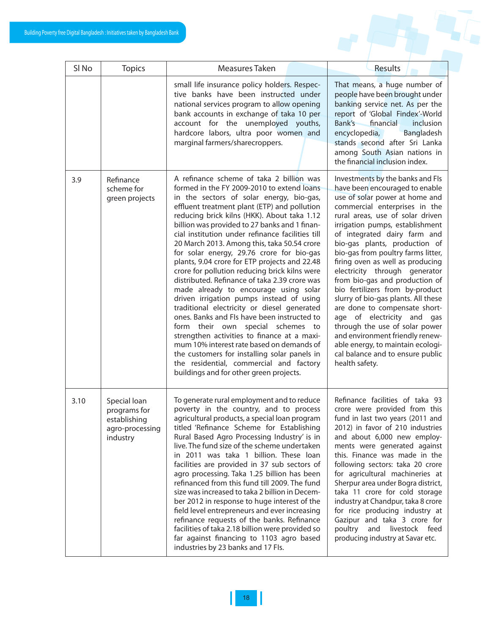|                  | e Digital Bangladesh : Initiatives taken by Bangladesh Bank                 |                                                                                                                                                                                                                                                                                                                                                                                                                                                                                                                                                                                                                                                                                                                                                                                                                                                                                                                                                                                                                                                 |                                                                                                                                                                                                                                                                                                                                                                                                                                                                                                                                                                                                                                                                                                                                     |
|------------------|-----------------------------------------------------------------------------|-------------------------------------------------------------------------------------------------------------------------------------------------------------------------------------------------------------------------------------------------------------------------------------------------------------------------------------------------------------------------------------------------------------------------------------------------------------------------------------------------------------------------------------------------------------------------------------------------------------------------------------------------------------------------------------------------------------------------------------------------------------------------------------------------------------------------------------------------------------------------------------------------------------------------------------------------------------------------------------------------------------------------------------------------|-------------------------------------------------------------------------------------------------------------------------------------------------------------------------------------------------------------------------------------------------------------------------------------------------------------------------------------------------------------------------------------------------------------------------------------------------------------------------------------------------------------------------------------------------------------------------------------------------------------------------------------------------------------------------------------------------------------------------------------|
|                  |                                                                             |                                                                                                                                                                                                                                                                                                                                                                                                                                                                                                                                                                                                                                                                                                                                                                                                                                                                                                                                                                                                                                                 |                                                                                                                                                                                                                                                                                                                                                                                                                                                                                                                                                                                                                                                                                                                                     |
| SI <sub>No</sub> | <b>Topics</b>                                                               | Measures Taken                                                                                                                                                                                                                                                                                                                                                                                                                                                                                                                                                                                                                                                                                                                                                                                                                                                                                                                                                                                                                                  | Results                                                                                                                                                                                                                                                                                                                                                                                                                                                                                                                                                                                                                                                                                                                             |
|                  |                                                                             | small life insurance policy holders. Respec-<br>tive banks have been instructed under<br>national services program to allow opening<br>bank accounts in exchange of taka 10 per<br>account for the unemployed youths,<br>hardcore labors, ultra poor women and<br>marginal farmers/sharecroppers.                                                                                                                                                                                                                                                                                                                                                                                                                                                                                                                                                                                                                                                                                                                                               | That means, a huge number of<br>people have been brought under<br>banking service net. As per the<br>report of 'Global Findex'-World<br>Bank's<br>financial<br>inclusion<br>encyclopedia,<br>Bangladesh<br>stands second after Sri Lanka<br>among South Asian nations in<br>the financial inclusion index.                                                                                                                                                                                                                                                                                                                                                                                                                          |
| 3.9              | Refinance<br>scheme for<br>green projects                                   | A refinance scheme of taka 2 billion was<br>formed in the FY 2009-2010 to extend loans<br>in the sectors of solar energy, bio-gas,<br>effluent treatment plant (ETP) and pollution<br>reducing brick kilns (HKK). About taka 1.12<br>billion was provided to 27 banks and 1 finan-<br>cial institution under refinance facilities till<br>20 March 2013. Among this, taka 50.54 crore<br>for solar energy, 29.76 crore for bio-gas<br>plants, 9.04 crore for ETP projects and 22.48<br>crore for pollution reducing brick kilns were<br>distributed. Refinance of taka 2.39 crore was<br>made already to encourage using solar<br>driven irrigation pumps instead of using<br>traditional electricity or diesel generated<br>ones. Banks and FIs have been instructed to<br>form their own special schemes to<br>strengthen activities to finance at a maxi-<br>mum 10% interest rate based on demands of<br>the customers for installing solar panels in<br>the residential, commercial and factory<br>buildings and for other green projects. | Investments by the banks and FIs<br>have been encouraged to enable<br>use of solar power at home and<br>commercial enterprises in the<br>rural areas, use of solar driven<br>irrigation pumps, establishment<br>of integrated dairy farm and<br>bio-gas plants, production of<br>bio-gas from poultry farms litter,<br>firing oven as well as producing<br>electricity through generator<br>from bio-gas and production of<br>bio fertilizers from by-product<br>slurry of bio-gas plants. All these<br>are done to compensate short-<br>age of electricity and gas<br>through the use of solar power<br>and environment friendly renew-<br>able energy, to maintain ecologi-<br>cal balance and to ensure public<br>health safety. |
| 3.10             | Special loan<br>programs for<br>establishing<br>agro-processing<br>industry | To generate rural employment and to reduce<br>poverty in the country, and to process<br>agricultural products, a special loan program<br>titled 'Refinance Scheme for Establishing<br>Rural Based Agro Processing Industry' is in<br>live. The fund size of the scheme undertaken<br>in 2011 was taka 1 billion. These loan<br>facilities are provided in 37 sub sectors of<br>agro processing. Taka 1.25 billion has been<br>refinanced from this fund till 2009. The fund<br>size was increased to taka 2 billion in Decem-<br>ber 2012 in response to huge interest of the<br>field level entrepreneurs and ever increasing<br>refinance requests of the banks. Refinance<br>facilities of taka 2.18 billion were provided so<br>far against financing to 1103 agro based<br>industries by 23 banks and 17 Fls.                                                                                                                                                                                                                              | Refinance facilities of taka 93<br>crore were provided from this<br>fund in last two years (2011 and<br>2012) in favor of 210 industries<br>and about 6,000 new employ-<br>ments were generated against<br>this. Finance was made in the<br>following sectors: taka 20 crore<br>for agricultural machineries at<br>Sherpur area under Bogra district,<br>taka 11 crore for cold storage<br>industry at Chandpur, taka 8 crore<br>for rice producing industry at<br>Gazipur and taka 3 crore for<br>poultry<br>and<br>livestock feed<br>producing industry at Savar etc.                                                                                                                                                             |

 $\mathbf{\mathbf{\mathsf{I}}}%$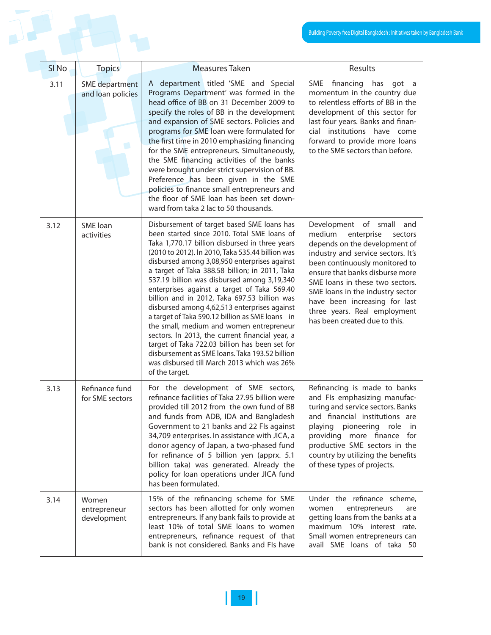|                  |                                            |                                                                                                                                                                                                                                                                                                                                                                                                                                                                                                                                                                                                                                                                                                                                                                                                                        | Building Poverty free Digital Bangladesh: Initiatives taken                                                                                                                                                                                                                                                                                                                         |
|------------------|--------------------------------------------|------------------------------------------------------------------------------------------------------------------------------------------------------------------------------------------------------------------------------------------------------------------------------------------------------------------------------------------------------------------------------------------------------------------------------------------------------------------------------------------------------------------------------------------------------------------------------------------------------------------------------------------------------------------------------------------------------------------------------------------------------------------------------------------------------------------------|-------------------------------------------------------------------------------------------------------------------------------------------------------------------------------------------------------------------------------------------------------------------------------------------------------------------------------------------------------------------------------------|
|                  |                                            |                                                                                                                                                                                                                                                                                                                                                                                                                                                                                                                                                                                                                                                                                                                                                                                                                        |                                                                                                                                                                                                                                                                                                                                                                                     |
| SI <sub>No</sub> | <b>Topics</b>                              | <b>Measures Taken</b>                                                                                                                                                                                                                                                                                                                                                                                                                                                                                                                                                                                                                                                                                                                                                                                                  | Results                                                                                                                                                                                                                                                                                                                                                                             |
| 3.11             | <b>SME</b> department<br>and loan policies | A department titled 'SME and Special<br>Programs Department' was formed in the<br>head office of BB on 31 December 2009 to<br>specify the roles of BB in the development<br>and expansion of SME sectors. Policies and<br>programs for SME loan were formulated for<br>the first time in 2010 emphasizing financing<br>for the SME entrepreneurs. Simultaneously,<br>the SME financing activities of the banks<br>were brought under strict supervision of BB.<br>Preference has been given in the SME<br>policies to finance small entrepreneurs and<br>the floor of SME loan has been set down-<br>ward from taka 2 lac to 50 thousands.                                                                                                                                                                             | SME financing<br>has<br>got a<br>momentum in the country due<br>to relentless efforts of BB in the<br>development of this sector for<br>last four years. Banks and finan-<br>cial institutions have come<br>forward to provide more loans<br>to the SME sectors than before.                                                                                                        |
| 3.12             | <b>SME</b> loan<br>activities              | Disbursement of target based SME loans has<br>been started since 2010. Total SME loans of<br>Taka 1,770.17 billion disbursed in three years<br>(2010 to 2012). In 2010, Taka 535.44 billion was<br>disbursed among 3,08,950 enterprises against<br>a target of Taka 388.58 billion; in 2011, Taka<br>537.19 billion was disbursed among 3,19,340<br>enterprises against a target of Taka 569.40<br>billion and in 2012, Taka 697.53 billion was<br>disbursed among 4,62,513 enterprises against<br>a target of Taka 590.12 billion as SME loans in<br>the small, medium and women entrepreneur<br>sectors. In 2013, the current financial year, a<br>target of Taka 722.03 billion has been set for<br>disbursement as SME loans. Taka 193.52 billion<br>was disbursed till March 2013 which was 26%<br>of the target. | Development of small<br>and<br>medium<br>enterprise<br>sectors<br>depends on the development of<br>industry and service sectors. It's<br>been continuously monitored to<br>ensure that banks disburse more<br>SME loans in these two sectors.<br>SME loans in the industry sector<br>have been increasing for last<br>three years. Real employment<br>has been created due to this. |
| 3.13             | Refinance fund<br>for SME sectors          | For the development of SME sectors,<br>refinance facilities of Taka 27.95 billion were<br>provided till 2012 from the own fund of BB<br>and funds from ADB, IDA and Bangladesh<br>Government to 21 banks and 22 FIs against<br>34,709 enterprises. In assistance with JICA, a<br>donor agency of Japan, a two-phased fund<br>for refinance of 5 billion yen (apprx. 5.1<br>billion taka) was generated. Already the<br>policy for loan operations under JICA fund<br>has been formulated.                                                                                                                                                                                                                                                                                                                              | Refinancing is made to banks<br>and FIs emphasizing manufac-<br>turing and service sectors. Banks<br>and financial institutions are<br>playing pioneering role<br>in<br>providing more finance for<br>productive SME sectors in the<br>country by utilizing the benefits<br>of these types of projects.                                                                             |
| 3.14             | Women<br>entrepreneur<br>development       | 15% of the refinancing scheme for SME<br>sectors has been allotted for only women<br>entrepreneurs. If any bank fails to provide at<br>least 10% of total SME loans to women<br>entrepreneurs, refinance request of that<br>bank is not considered. Banks and FIs have                                                                                                                                                                                                                                                                                                                                                                                                                                                                                                                                                 | Under the refinance scheme,<br>women<br>entrepreneurs<br>are<br>getting loans from the banks at a<br>maximum 10% interest rate.<br>Small women entrepreneurs can<br>avail SME loans of taka 50                                                                                                                                                                                      |

 $\mathbb I$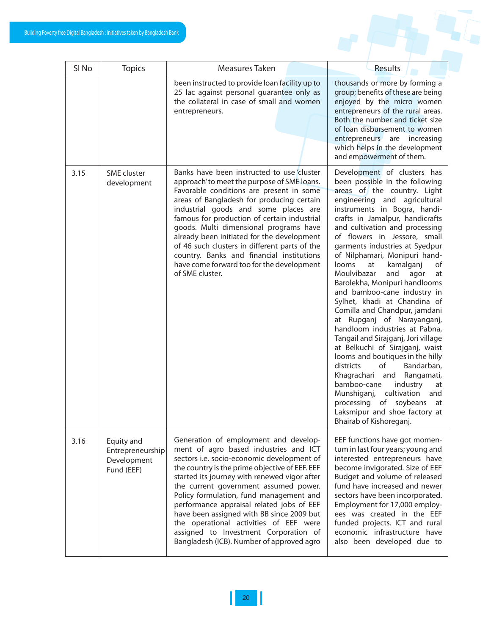| SI <sub>No</sub> | <b>Topics</b>                                               | Measures Taken                                                                                                                                                                                                                                                                                                                                                                                                                                                                                                                               | Results                                                                                                                                                                                                                                                                                                                                                                                                                                                                                                                                                                                                                                                                                                                                                                                                                                                                                                                                                      |
|------------------|-------------------------------------------------------------|----------------------------------------------------------------------------------------------------------------------------------------------------------------------------------------------------------------------------------------------------------------------------------------------------------------------------------------------------------------------------------------------------------------------------------------------------------------------------------------------------------------------------------------------|--------------------------------------------------------------------------------------------------------------------------------------------------------------------------------------------------------------------------------------------------------------------------------------------------------------------------------------------------------------------------------------------------------------------------------------------------------------------------------------------------------------------------------------------------------------------------------------------------------------------------------------------------------------------------------------------------------------------------------------------------------------------------------------------------------------------------------------------------------------------------------------------------------------------------------------------------------------|
|                  |                                                             | been instructed to provide loan facility up to<br>25 lac against personal guarantee only as<br>the collateral in case of small and women<br>entrepreneurs.                                                                                                                                                                                                                                                                                                                                                                                   | thousands or more by forming a<br>group; benefits of these are being<br>enjoyed by the micro women<br>entrepreneurs of the rural areas.<br>Both the number and ticket size<br>of loan disbursement to women<br>entrepreneurs are increasing<br>which helps in the development<br>and empowerment of them.                                                                                                                                                                                                                                                                                                                                                                                                                                                                                                                                                                                                                                                    |
| 3.15             | <b>SME</b> cluster<br>development                           | Banks have been instructed to use cluster<br>approach' to meet the purpose of SME loans.<br>Favorable conditions are present in some<br>areas of Bangladesh for producing certain<br>industrial goods and some places are<br>famous for production of certain industrial<br>goods. Multi dimensional programs have<br>already been initiated for the development<br>of 46 such clusters in different parts of the<br>country. Banks and financial institutions<br>have come forward too for the development<br>of SME cluster.               | Development of clusters has<br>been possible in the following<br>areas of the country. Light<br>engineering and agricultural<br>instruments in Bogra, handi-<br>crafts in Jamalpur, handicrafts<br>and cultivation and processing<br>of flowers in Jessore, small<br>garments industries at Syedpur<br>of Nilphamari, Monipuri hand-<br>looms<br>at<br>kamalganj<br>of<br>Moulvibazar<br>and<br>agor<br>at<br>Barolekha, Monipuri handlooms<br>and bamboo-cane industry in<br>Sylhet, khadi at Chandina of<br>Comilla and Chandpur, jamdani<br>at Rupganj of Narayanganj,<br>handloom industries at Pabna,<br>Tangail and Sirajganj, Jori village<br>at Belkuchi of Sirajganj, waist<br>looms and boutiques in the hilly<br>districts<br>of<br>Bandarban,<br>Khagrachari and Rangamati,<br>bamboo-cane<br>industry<br>at<br>Munshiganj,<br>cultivation<br>and<br>processing of<br>soybeans<br>at<br>Laksmipur and shoe factory at<br>Bhairab of Kishoreganj. |
| 3.16             | Equity and<br>Entrepreneurship<br>Development<br>Fund (EEF) | Generation of employment and develop-<br>ment of agro based industries and ICT<br>sectors i.e. socio-economic development of<br>the country is the prime objective of EEF. EEF<br>started its journey with renewed vigor after<br>the current government assumed power.<br>Policy formulation, fund management and<br>performance appraisal related jobs of EEF<br>have been assigned with BB since 2009 but<br>the operational activities of EEF were<br>assigned to Investment Corporation of<br>Bangladesh (ICB). Number of approved agro | EEF functions have got momen-<br>tum in last four years; young and<br>interested entrepreneurs have<br>become invigorated. Size of EEF<br>Budget and volume of released<br>fund have increased and newer<br>sectors have been incorporated.<br>Employment for 17,000 employ-<br>ees was created in the EEF<br>funded projects. ICT and rural<br>economic infrastructure have<br>also been developed due to                                                                                                                                                                                                                                                                                                                                                                                                                                                                                                                                                   |

H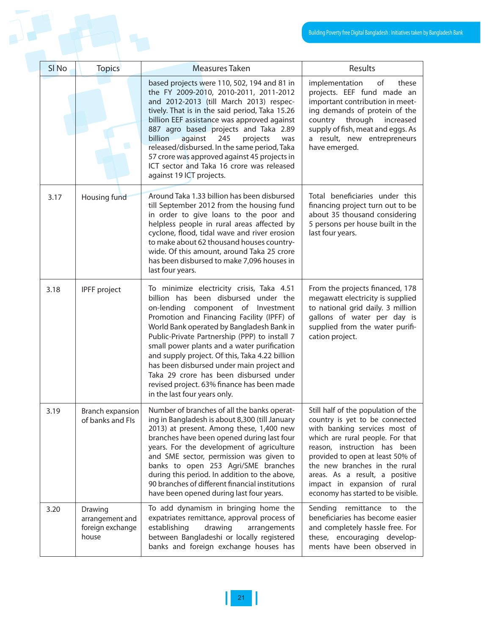|  |                  |                                                         |                                                                                                                                                                                                                                                                                                                                                                                                                                                                                                                                           | Building Poverty free Digital Bangladesh : Initiatives taken                                                                                                                                                                                                                                                                                            |  |
|--|------------------|---------------------------------------------------------|-------------------------------------------------------------------------------------------------------------------------------------------------------------------------------------------------------------------------------------------------------------------------------------------------------------------------------------------------------------------------------------------------------------------------------------------------------------------------------------------------------------------------------------------|---------------------------------------------------------------------------------------------------------------------------------------------------------------------------------------------------------------------------------------------------------------------------------------------------------------------------------------------------------|--|
|  |                  |                                                         |                                                                                                                                                                                                                                                                                                                                                                                                                                                                                                                                           |                                                                                                                                                                                                                                                                                                                                                         |  |
|  | SI <sub>No</sub> | <b>Topics</b>                                           | Measures Taken                                                                                                                                                                                                                                                                                                                                                                                                                                                                                                                            | Results                                                                                                                                                                                                                                                                                                                                                 |  |
|  |                  |                                                         | based projects were 110, 502, 194 and 81 in<br>the FY 2009-2010, 2010-2011, 2011-2012<br>and 2012-2013 (till March 2013) respec-<br>tively. That is in the said period, Taka 15.26<br>billion EEF assistance was approved against<br>887 agro based projects and Taka 2.89<br>billion<br>against<br>245<br>projects<br>was<br>released/disbursed. In the same period, Taka<br>57 crore was approved against 45 projects in<br>ICT sector and Taka 16 crore was released<br>against 19 ICT projects.                                       | implementation<br>of<br>these<br>projects. EEF fund made an<br>important contribution in meet-<br>ing demands of protein of the<br>country through<br>increased<br>supply of fish, meat and eggs. As<br>a result, new entrepreneurs<br>have emerged.                                                                                                    |  |
|  | 3.17             | Housing fund                                            | Around Taka 1.33 billion has been disbursed<br>till September 2012 from the housing fund<br>in order to give loans to the poor and<br>helpless people in rural areas affected by<br>cyclone, flood, tidal wave and river erosion<br>to make about 62 thousand houses country-<br>wide. Of this amount, around Taka 25 crore<br>has been disbursed to make 7,096 houses in<br>last four years.                                                                                                                                             | Total beneficiaries under this<br>financing project turn out to be<br>about 35 thousand considering<br>5 persons per house built in the<br>last four years.                                                                                                                                                                                             |  |
|  | 3.18             | IPFF project                                            | To minimize electricity crisis, Taka 4.51<br>billion has been disbursed under the<br>on-lending component of Investment<br>Promotion and Financing Facility (IPFF) of<br>World Bank operated by Bangladesh Bank in<br>Public-Private Partnership (PPP) to install 7<br>small power plants and a water purification<br>and supply project. Of this, Taka 4.22 billion<br>has been disbursed under main project and<br>Taka 29 crore has been disbursed under<br>revised project. 63% finance has been made<br>in the last four years only. | From the projects financed, 178<br>megawatt electricity is supplied<br>to national grid daily. 3 million<br>gallons of water per day is<br>supplied from the water purifi-<br>cation project.                                                                                                                                                           |  |
|  | 3.19             | Branch expansion<br>of banks and Fls                    | Number of branches of all the banks operat-<br>ing in Bangladesh is about 8,300 (till January<br>2013) at present. Among these, 1,400 new<br>branches have been opened during last four<br>years. For the development of agriculture<br>and SME sector, permission was given to<br>banks to open 253 Agri/SME branches<br>during this period. In addition to the above,<br>90 branches of different financial institutions<br>have been opened during last four years.                                                                    | Still half of the population of the<br>country is yet to be connected<br>with banking services most of<br>which are rural people. For that<br>reason, instruction has been<br>provided to open at least 50% of<br>the new branches in the rural<br>areas. As a result, a positive<br>impact in expansion of rural<br>economy has started to be visible. |  |
|  | 3.20             | Drawing<br>arrangement and<br>foreign exchange<br>house | To add dynamism in bringing home the<br>expatriates remittance, approval process of<br>establishing<br>drawing<br>arrangements<br>between Bangladeshi or locally registered<br>banks and foreign exchange houses has                                                                                                                                                                                                                                                                                                                      | Sending remittance to the<br>beneficiaries has become easier<br>and completely hassle free. For<br>these, encouraging develop-<br>ments have been observed in                                                                                                                                                                                           |  |

 $\mathbf{l}$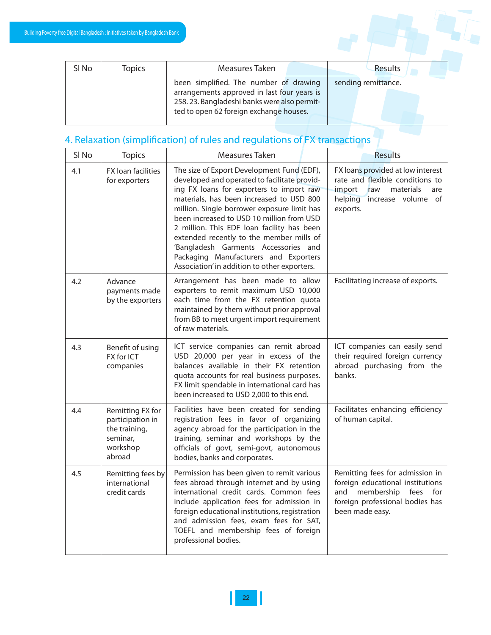

| SI No | <b>Topics</b> | Measures Taken                              | Results             |
|-------|---------------|---------------------------------------------|---------------------|
|       |               | been simplified. The number of drawing      | sending remittance. |
|       |               | arrangements approved in last four years is |                     |
|       |               | 258.23. Bangladeshi banks were also permit- |                     |
|       |               | ted to open 62 foreign exchange houses.     |                     |
|       |               |                                             |                     |

#### 4. Relaxation (simplification) of rules and regulations of FX transactions

| SI <sub>No</sub> | <b>Topics</b>                                                                           | Measures Taken                                                                                                                                                                                                                                                                                                                                                                                                                                                                                            | <b>Results</b>                                                                                                                                             |
|------------------|-----------------------------------------------------------------------------------------|-----------------------------------------------------------------------------------------------------------------------------------------------------------------------------------------------------------------------------------------------------------------------------------------------------------------------------------------------------------------------------------------------------------------------------------------------------------------------------------------------------------|------------------------------------------------------------------------------------------------------------------------------------------------------------|
| 4.1              | FX loan facilities<br>for exporters                                                     | The size of Export Development Fund (EDF),<br>developed and operated to facilitate provid-<br>ing FX loans for exporters to import raw<br>materials, has been increased to USD 800<br>million. Single borrower exposure limit has<br>been increased to USD 10 million from USD<br>2 million. This EDF loan facility has been<br>extended recently to the member mills of<br>'Bangladesh Garments Accessories and<br>Packaging Manufacturers and Exporters<br>Association' in addition to other exporters. | FX loans provided at low interest<br>rate and flexible conditions to<br>import<br>materials<br>raw<br>are<br>helping<br>increase volume of<br>exports.     |
| 4.2              | Advance<br>payments made<br>by the exporters                                            | Arrangement has been made to allow<br>exporters to remit maximum USD 10,000<br>each time from the FX retention quota<br>maintained by them without prior approval<br>from BB to meet urgent import requirement<br>of raw materials.                                                                                                                                                                                                                                                                       | Facilitating increase of exports.                                                                                                                          |
| 4.3              | Benefit of using<br>FX for ICT<br>companies                                             | ICT service companies can remit abroad<br>USD 20,000 per year in excess of the<br>balances available in their FX retention<br>quota accounts for real business purposes.<br>FX limit spendable in international card has<br>been increased to USD 2,000 to this end.                                                                                                                                                                                                                                      | ICT companies can easily send<br>their required foreign currency<br>abroad purchasing from the<br>banks.                                                   |
| 4.4              | Remitting FX for<br>participation in<br>the training,<br>seminar,<br>workshop<br>abroad | Facilities have been created for sending<br>registration fees in favor of organizing<br>agency abroad for the participation in the<br>training, seminar and workshops by the<br>officials of govt, semi-govt, autonomous<br>bodies, banks and corporates.                                                                                                                                                                                                                                                 | Facilitates enhancing efficiency<br>of human capital.                                                                                                      |
| 4.5              | Remitting fees by<br>international<br>credit cards                                      | Permission has been given to remit various<br>fees abroad through internet and by using<br>international credit cards. Common fees<br>include application fees for admission in<br>foreign educational institutions, registration<br>and admission fees, exam fees for SAT,<br>TOEFL and membership fees of foreign<br>professional bodies.                                                                                                                                                               | Remitting fees for admission in<br>foreign educational institutions<br>and membership<br>fees<br>for<br>foreign professional bodies has<br>been made easy. |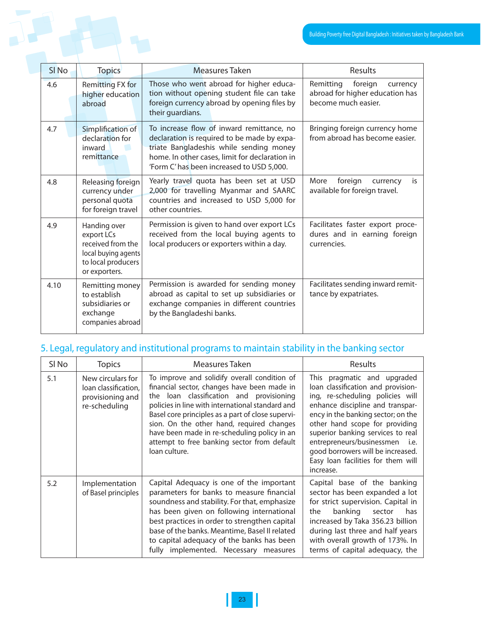|                  |                                                                                                               |                                                                                                                                                                                                                                   | Building Poverty free Digital Bangladesh : Initiatives taken                               |  |
|------------------|---------------------------------------------------------------------------------------------------------------|-----------------------------------------------------------------------------------------------------------------------------------------------------------------------------------------------------------------------------------|--------------------------------------------------------------------------------------------|--|
|                  |                                                                                                               |                                                                                                                                                                                                                                   |                                                                                            |  |
| SI <sub>No</sub> | <b>Topics</b>                                                                                                 | Measures Taken                                                                                                                                                                                                                    | Results                                                                                    |  |
| 4.6              | Remitting FX for<br>higher education<br>abroad                                                                | Those who went abroad for higher educa-<br>tion without opening student file can take<br>foreign currency abroad by opening files by<br>their guardians.                                                                          | foreign<br>Remitting<br>currency<br>abroad for higher education has<br>become much easier. |  |
| 4.7              | Simplification of<br>declaration for<br>inward<br>remittance                                                  | To increase flow of inward remittance, no<br>declaration is required to be made by expa-<br>triate Bangladeshis while sending money<br>home. In other cases, limit for declaration in<br>'Form C'has been increased to USD 5,000. | Bringing foreign currency home<br>from abroad has become easier.                           |  |
| 4.8              | Releasing foreign<br>currency under<br>personal quota<br>for foreign travel                                   | Yearly travel quota has been set at USD<br>2,000 for travelling Myanmar and SAARC<br>countries and increased to USD 5,000 for<br>other countries.                                                                                 | foreign<br>More<br>is<br>currency<br>available for foreign travel.                         |  |
| 4.9              | Handing over<br>export LCs<br>received from the<br>local buying agents<br>to local producers<br>or exporters. | Permission is given to hand over export LCs<br>received from the local buying agents to<br>local producers or exporters within a day.                                                                                             | Facilitates faster export proce-<br>dures and in earning foreign<br>currencies.            |  |
| 4.10             | Remitting money<br>to establish<br>subsidiaries or<br>exchange<br>companies abroad                            | Permission is awarded for sending money<br>abroad as capital to set up subsidiaries or<br>exchange companies in different countries<br>by the Bangladeshi banks.                                                                  | Facilitates sending inward remit-<br>tance by expatriates.                                 |  |

#### 5. Legal, regulatory and institutional programs to maintain stability in the banking sector

| SI No | <b>Topics</b>                                                                  | Measures Taken                                                                                                                                                                                                                                                                                                                                                                                                | Results                                                                                                                                                                                                                                                                                                                                                                          |
|-------|--------------------------------------------------------------------------------|---------------------------------------------------------------------------------------------------------------------------------------------------------------------------------------------------------------------------------------------------------------------------------------------------------------------------------------------------------------------------------------------------------------|----------------------------------------------------------------------------------------------------------------------------------------------------------------------------------------------------------------------------------------------------------------------------------------------------------------------------------------------------------------------------------|
| 5.1   | New circulars for<br>loan classification,<br>provisioning and<br>re-scheduling | To improve and solidify overall condition of<br>financial sector, changes have been made in<br>the loan classification and provisioning<br>policies in line with international standard and<br>Basel core principles as a part of close supervi-<br>sion. On the other hand, required changes<br>have been made in re-scheduling policy in an<br>attempt to free banking sector from default<br>loan culture. | This pragmatic and upgraded<br>loan classification and provision-<br>ing, re-scheduling policies will<br>enhance discipline and transpar-<br>ency in the banking sector; on the<br>other hand scope for providing<br>superior banking services to real<br>entrepreneurs/businessmen i.e.<br>good borrowers will be increased.<br>Easy loan facilities for them will<br>increase. |
| 5.2   | Implementation<br>of Basel principles                                          | Capital Adequacy is one of the important<br>parameters for banks to measure financial<br>soundness and stability. For that, emphasize<br>has been given on following international<br>best practices in order to strengthen capital<br>base of the banks. Meantime, Basel II related<br>to capital adequacy of the banks has been<br>fully implemented. Necessary measures                                    | Capital base of the banking<br>sector has been expanded a lot<br>for strict supervision. Capital in<br>banking sector<br>the<br>has<br>increased by Taka 356.23 billion<br>during last three and half years<br>with overall growth of 173%. In<br>terms of capital adequacy, the                                                                                                 |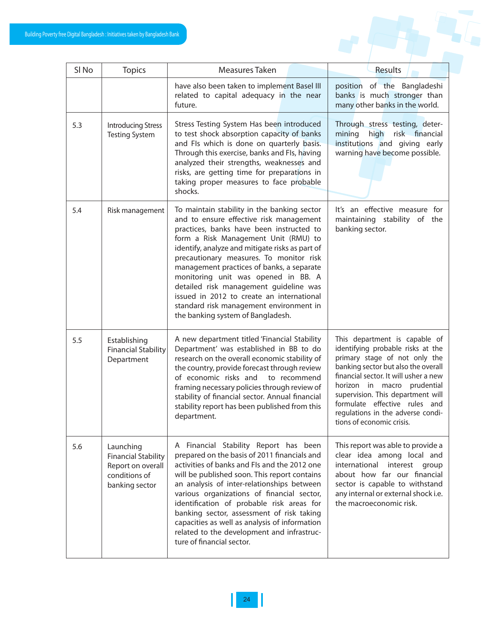|                  | e Digital Bangladesh : Initiatives taken by Bangladesh Bank                                     |                                                                                                                                                                                                                                                                                                                                                                                                                                                                                                                                     |                                                                                                                                                                                                                                                                                                                                                            |
|------------------|-------------------------------------------------------------------------------------------------|-------------------------------------------------------------------------------------------------------------------------------------------------------------------------------------------------------------------------------------------------------------------------------------------------------------------------------------------------------------------------------------------------------------------------------------------------------------------------------------------------------------------------------------|------------------------------------------------------------------------------------------------------------------------------------------------------------------------------------------------------------------------------------------------------------------------------------------------------------------------------------------------------------|
| SI <sub>No</sub> | <b>Topics</b>                                                                                   | Measures Taken<br>have also been taken to implement Basel III                                                                                                                                                                                                                                                                                                                                                                                                                                                                       | Results<br>position of the Bangladeshi                                                                                                                                                                                                                                                                                                                     |
|                  |                                                                                                 | related to capital adequacy in the near<br>future.                                                                                                                                                                                                                                                                                                                                                                                                                                                                                  | banks is much stronger than<br>many other banks in the world.                                                                                                                                                                                                                                                                                              |
| 5.3              | <b>Introducing Stress</b><br><b>Testing System</b>                                              | Stress Testing System Has been introduced<br>to test shock absorption capacity of banks<br>and FIs which is done on quarterly basis.<br>Through this exercise, banks and FIs, having<br>analyzed their strengths, weaknesses and<br>risks, are getting time for preparations in<br>taking proper measures to face probable<br>shocks.                                                                                                                                                                                               | Through stress testing, deter-<br>high<br>mining<br>risk financial<br>institutions and giving early<br>warning have become possible.                                                                                                                                                                                                                       |
| 5.4              | Risk management                                                                                 | To maintain stability in the banking sector<br>and to ensure effective risk management<br>practices, banks have been instructed to<br>form a Risk Management Unit (RMU) to<br>identify, analyze and mitigate risks as part of<br>precautionary measures. To monitor risk<br>management practices of banks, a separate<br>monitoring unit was opened in BB. A<br>detailed risk management guideline was<br>issued in 2012 to create an international<br>standard risk management environment in<br>the banking system of Bangladesh. | It's an effective measure for<br>maintaining stability of the<br>banking sector.                                                                                                                                                                                                                                                                           |
| 5.5              | Establishing<br><b>Financial Stability</b><br>Department                                        | A new department titled 'Financial Stability<br>Department' was established in BB to do<br>research on the overall economic stability of<br>the country, provide forecast through review<br>of economic risks and<br>to recommend<br>framing necessary policies through review of<br>stability of financial sector. Annual financial<br>stability report has been published from this<br>department.                                                                                                                                | This department is capable of<br>identifying probable risks at the<br>primary stage of not only the<br>banking sector but also the overall<br>financial sector. It will usher a new<br>horizon in macro prudential<br>supervision. This department will<br>formulate effective rules and<br>regulations in the adverse condi-<br>tions of economic crisis. |
| 5.6              | Launching<br><b>Financial Stability</b><br>Report on overall<br>conditions of<br>banking sector | A Financial Stability Report has been<br>prepared on the basis of 2011 financials and<br>activities of banks and FIs and the 2012 one<br>will be published soon. This report contains<br>an analysis of inter-relationships between<br>various organizations of financial sector,<br>identification of probable risk areas for<br>banking sector, assessment of risk taking<br>capacities as well as analysis of information<br>related to the development and infrastruc-<br>ture of financial sector.                             | This report was able to provide a<br>clear idea among local and<br>international interest group<br>about how far our financial<br>sector is capable to withstand<br>any internal or external shock i.e.<br>the macroeconomic risk.                                                                                                                         |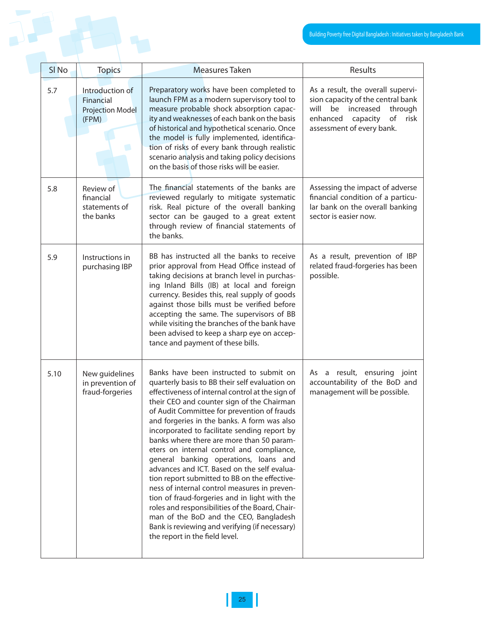|                  |                                                                  |                                                                                                                                                                                                                                                                                                                                                                                                                                                                                                                                                                                                                                                                                                                                                                                                                                                                | <b>Building Poverty free Digital Bangladesh: Initiatives taken I</b>                                                                                                         |
|------------------|------------------------------------------------------------------|----------------------------------------------------------------------------------------------------------------------------------------------------------------------------------------------------------------------------------------------------------------------------------------------------------------------------------------------------------------------------------------------------------------------------------------------------------------------------------------------------------------------------------------------------------------------------------------------------------------------------------------------------------------------------------------------------------------------------------------------------------------------------------------------------------------------------------------------------------------|------------------------------------------------------------------------------------------------------------------------------------------------------------------------------|
| SI <sub>No</sub> | <b>Topics</b>                                                    | <b>Measures Taken</b>                                                                                                                                                                                                                                                                                                                                                                                                                                                                                                                                                                                                                                                                                                                                                                                                                                          | Results                                                                                                                                                                      |
| 5.7              | Introduction of<br>Financial<br><b>Projection Model</b><br>(FPM) | Preparatory works have been completed to<br>launch FPM as a modern supervisory tool to<br>measure probable shock absorption capac-<br>ity and weaknesses of each bank on the basis<br>of historical and hypothetical scenario. Once<br>the model is fully implemented, identifica-<br>tion of risks of every bank through realistic<br>scenario analysis and taking policy decisions<br>on the basis of those risks will be easier.                                                                                                                                                                                                                                                                                                                                                                                                                            | As a result, the overall supervi-<br>sion capacity of the central bank<br>will<br>be increased<br>through<br>enhanced<br>capacity<br>of<br>risk<br>assessment of every bank. |
| 5.8              | Review of<br>financial<br>statements of<br>the banks             | The financial statements of the banks are<br>reviewed regularly to mitigate systematic<br>risk. Real picture of the overall banking<br>sector can be gauged to a great extent<br>through review of financial statements of<br>the banks.                                                                                                                                                                                                                                                                                                                                                                                                                                                                                                                                                                                                                       | Assessing the impact of adverse<br>financial condition of a particu-<br>lar bank on the overall banking<br>sector is easier now.                                             |
| 5.9              | Instructions in<br>purchasing IBP                                | BB has instructed all the banks to receive<br>prior approval from Head Office instead of<br>taking decisions at branch level in purchas-<br>ing Inland Bills (IB) at local and foreign<br>currency. Besides this, real supply of goods<br>against those bills must be verified before<br>accepting the same. The supervisors of BB<br>while visiting the branches of the bank have<br>been advised to keep a sharp eye on accep-<br>tance and payment of these bills.                                                                                                                                                                                                                                                                                                                                                                                          | As a result, prevention of IBP<br>related fraud-forgeries has been<br>possible.                                                                                              |
| 5.10             | New guidelines<br>in prevention of<br>fraud-forgeries            | Banks have been instructed to submit on<br>quarterly basis to BB their self evaluation on<br>effectiveness of internal control at the sign of<br>their CEO and counter sign of the Chairman<br>of Audit Committee for prevention of frauds<br>and forgeries in the banks. A form was also<br>incorporated to facilitate sending report by<br>banks where there are more than 50 param-<br>eters on internal control and compliance,<br>general banking operations, loans and<br>advances and ICT. Based on the self evalua-<br>tion report submitted to BB on the effective-<br>ness of internal control measures in preven-<br>tion of fraud-forgeries and in light with the<br>roles and responsibilities of the Board, Chair-<br>man of the BoD and the CEO, Bangladesh<br>Bank is reviewing and verifying (if necessary)<br>the report in the field level. | As a result, ensuring joint<br>accountability of the BoD and<br>management will be possible.                                                                                 |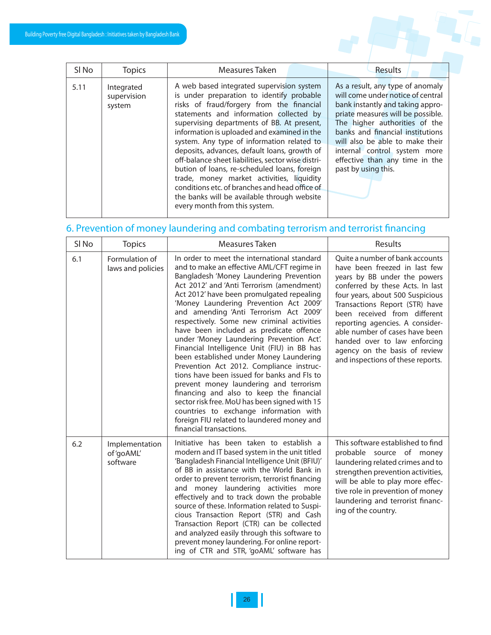| SI <sub>No</sub> | <b>Topics</b>                       | Measures Taken                                                                                                                                                                                                                                                                                                                                                                                                                                                                                                                                                                                                                                                 | Results                                                                                                                                                                                                                                                                                                                                         |
|------------------|-------------------------------------|----------------------------------------------------------------------------------------------------------------------------------------------------------------------------------------------------------------------------------------------------------------------------------------------------------------------------------------------------------------------------------------------------------------------------------------------------------------------------------------------------------------------------------------------------------------------------------------------------------------------------------------------------------------|-------------------------------------------------------------------------------------------------------------------------------------------------------------------------------------------------------------------------------------------------------------------------------------------------------------------------------------------------|
| 5.11             | Integrated<br>supervision<br>system | A web based integrated supervision system<br>is under preparation to identify probable<br>risks of fraud/forgery from the financial<br>statements and information collected by<br>supervising departments of BB. At present,<br>information is uploaded and examined in the<br>system. Any type of information related to<br>deposits, advances, default loans, growth of<br>off-balance sheet liabilities, sector wise distri-<br>bution of loans, re-scheduled loans, foreign<br>trade, money market activities, liquidity<br>conditions etc. of branches and head office of<br>the banks will be available through website<br>every month from this system. | As a result, any type of anomaly<br>will come under notice of central<br>bank instantly and taking appro-<br>priate measures will be possible.<br>The higher authorities of the<br>banks and financial institutions<br>will also be able to make their<br>internal control system more<br>effective than any time in the<br>past by using this. |

### 6. Prevention of money laundering and combating terrorism and terrorist financing

| SI <sub>No</sub> | <b>Topics</b>                            | Measures Taken                                                                                                                                                                                                                                                                                                                                                                                                                                                                                                                                                                                                                                                                                                                                                                                                                                                                                         | Results                                                                                                                                                                                                                                                                                                                                                                                                               |
|------------------|------------------------------------------|--------------------------------------------------------------------------------------------------------------------------------------------------------------------------------------------------------------------------------------------------------------------------------------------------------------------------------------------------------------------------------------------------------------------------------------------------------------------------------------------------------------------------------------------------------------------------------------------------------------------------------------------------------------------------------------------------------------------------------------------------------------------------------------------------------------------------------------------------------------------------------------------------------|-----------------------------------------------------------------------------------------------------------------------------------------------------------------------------------------------------------------------------------------------------------------------------------------------------------------------------------------------------------------------------------------------------------------------|
| 6.1              | Formulation of<br>laws and policies      | In order to meet the international standard<br>and to make an effective AML/CFT regime in<br>Bangladesh 'Money Laundering Prevention<br>Act 2012' and 'Anti Terrorism (amendment)<br>Act 2012' have been promulgated repealing<br>'Money Laundering Prevention Act 2009'<br>and amending 'Anti Terrorism Act 2009'<br>respectively. Some new criminal activities<br>have been included as predicate offence<br>under 'Money Laundering Prevention Act'.<br>Financial Intelligence Unit (FIU) in BB has<br>been established under Money Laundering<br>Prevention Act 2012. Compliance instruc-<br>tions have been issued for banks and FIs to<br>prevent money laundering and terrorism<br>financing and also to keep the financial<br>sector risk free. MoU has been signed with 15<br>countries to exchange information with<br>foreign FIU related to laundered money and<br>financial transactions. | Quite a number of bank accounts<br>have been freezed in last few<br>years by BB under the powers<br>conferred by these Acts. In last<br>four years, about 500 Suspicious<br>Transactions Report (STR) have<br>been received from different<br>reporting agencies. A consider-<br>able number of cases have been<br>handed over to law enforcing<br>agency on the basis of review<br>and inspections of these reports. |
| 6.2              | Implementation<br>of 'goAML'<br>software | Initiative has been taken to establish a<br>modern and IT based system in the unit titled<br>'Bangladesh Financial Intelligence Unit (BFIU)'<br>of BB in assistance with the World Bank in<br>order to prevent terrorism, terrorist financing<br>and money laundering activities more<br>effectively and to track down the probable<br>source of these. Information related to Suspi-<br>cious Transaction Report (STR) and Cash<br>Transaction Report (CTR) can be collected<br>and analyzed easily through this software to<br>prevent money laundering. For online report-<br>ing of CTR and STR, 'goAML' software has                                                                                                                                                                                                                                                                              | This software established to find<br>probable source of money<br>laundering related crimes and to<br>strengthen prevention activities,<br>will be able to play more effec-<br>tive role in prevention of money<br>laundering and terrorist financ-<br>ing of the country.                                                                                                                                             |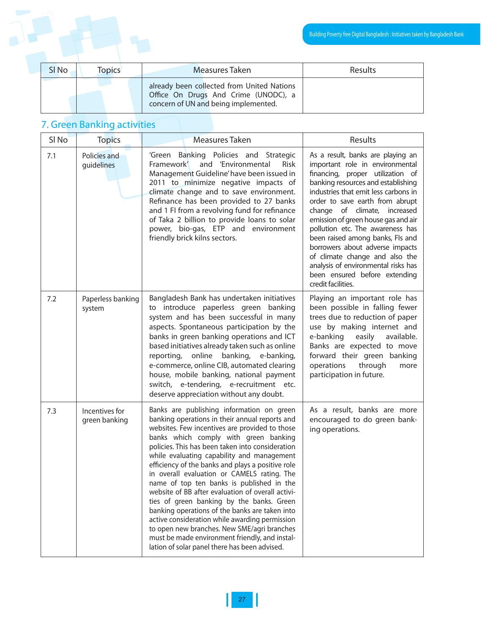|                  |               |                                                                                                                            | Building Poverty free Digital Bangladesh : Initiatives taken I |
|------------------|---------------|----------------------------------------------------------------------------------------------------------------------------|----------------------------------------------------------------|
| SI <sub>No</sub> | <b>Topics</b> | Measures Taken                                                                                                             | Results                                                        |
|                  |               | already been collected from United Nations<br>Office On Drugs And Crime (UNODC), a<br>concern of UN and being implemented. |                                                                |

## 7. Green Banking activities

| SI <sub>No</sub> | <b>Topics</b>                   | Measures Taken                                                                                                                                                                                                                                                                                                                                                                                                                                                                                                                                                                                                                                                                                                                                                                                    | Results                                                                                                                                                                                                                                                                                                                                                                                                                                                                                                                                        |
|------------------|---------------------------------|---------------------------------------------------------------------------------------------------------------------------------------------------------------------------------------------------------------------------------------------------------------------------------------------------------------------------------------------------------------------------------------------------------------------------------------------------------------------------------------------------------------------------------------------------------------------------------------------------------------------------------------------------------------------------------------------------------------------------------------------------------------------------------------------------|------------------------------------------------------------------------------------------------------------------------------------------------------------------------------------------------------------------------------------------------------------------------------------------------------------------------------------------------------------------------------------------------------------------------------------------------------------------------------------------------------------------------------------------------|
| 7.1              | Policies and<br>guidelines      | 'Green Banking Policies and Strategic<br>and 'Environmental<br>Framework'<br><b>Risk</b><br>Management Guideline' have been issued in<br>2011 to minimize negative impacts of<br>climate change and to save environment.<br>Refinance has been provided to 27 banks<br>and 1 FI from a revolving fund for refinance<br>of Taka 2 billion to provide loans to solar<br>power, bio-gas, ETP and environment<br>friendly brick kilns sectors.                                                                                                                                                                                                                                                                                                                                                        | As a result, banks are playing an<br>important role in environmental<br>financing, proper utilization of<br>banking resources and establishing<br>industries that emit less carbons in<br>order to save earth from abrupt<br>change of climate,<br>increased<br>emission of green house gas and air<br>pollution etc. The awareness has<br>been raised among banks, FIs and<br>borrowers about adverse impacts<br>of climate change and also the<br>analysis of environmental risks has<br>been ensured before extending<br>credit facilities. |
| 7.2              | Paperless banking<br>system     | Bangladesh Bank has undertaken initiatives<br>to introduce paperless green banking<br>system and has been successful in many<br>aspects. Spontaneous participation by the<br>banks in green banking operations and ICT<br>based initiatives already taken such as online<br>reporting, online<br>banking,<br>e-banking,<br>e-commerce, online CIB, automated clearing<br>house, mobile banking, national payment<br>switch, e-tendering, e-recruitment etc.<br>deserve appreciation without any doubt.                                                                                                                                                                                                                                                                                            | Playing an important role has<br>been possible in falling fewer<br>trees due to reduction of paper<br>use by making internet and<br>e-banking<br>easily<br>available.<br>Banks are expected to move<br>forward their green banking<br>operations<br>through<br>more<br>participation in future.                                                                                                                                                                                                                                                |
| 7.3              | Incentives for<br>green banking | Banks are publishing information on green<br>banking operations in their annual reports and<br>websites. Few incentives are provided to those<br>banks which comply with green banking<br>policies. This has been taken into consideration<br>while evaluating capability and management<br>efficiency of the banks and plays a positive role<br>in overall evaluation or CAMELS rating. The<br>name of top ten banks is published in the<br>website of BB after evaluation of overall activi-<br>ties of green banking by the banks. Green<br>banking operations of the banks are taken into<br>active consideration while awarding permission<br>to open new branches. New SME/agri branches<br>must be made environment friendly, and instal-<br>lation of solar panel there has been advised. | As a result, banks are more<br>encouraged to do green bank-<br>ing operations.                                                                                                                                                                                                                                                                                                                                                                                                                                                                 |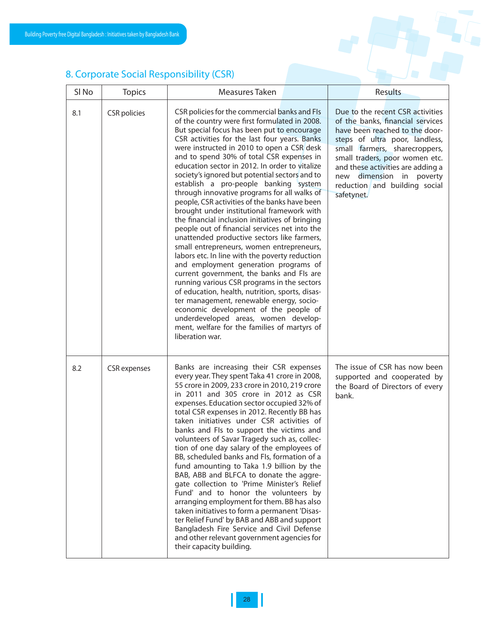### 8. Corporate Social Responsibility (CSR)

| SI No | <b>Topics</b>       | Measures Taken                                                                                                                                                                                                                                                                                                                                                                                                                                                                                                                                                                                                                                                                                                                                                                                                                                                                                                                                                                                                                                                                                                                                                                                                                  | <b>Results</b>                                                                                                                                                                                                                                                                                                              |
|-------|---------------------|---------------------------------------------------------------------------------------------------------------------------------------------------------------------------------------------------------------------------------------------------------------------------------------------------------------------------------------------------------------------------------------------------------------------------------------------------------------------------------------------------------------------------------------------------------------------------------------------------------------------------------------------------------------------------------------------------------------------------------------------------------------------------------------------------------------------------------------------------------------------------------------------------------------------------------------------------------------------------------------------------------------------------------------------------------------------------------------------------------------------------------------------------------------------------------------------------------------------------------|-----------------------------------------------------------------------------------------------------------------------------------------------------------------------------------------------------------------------------------------------------------------------------------------------------------------------------|
| 8.1   | <b>CSR</b> policies | CSR policies for the commercial banks and FIs<br>of the country were first formulated in 2008.<br>But special focus has been put to encourage<br>CSR activities for the last four years. Banks<br>were instructed in 2010 to open a CSR desk<br>and to spend 30% of total CSR expenses in<br>education sector in 2012. In order to vitalize<br>society's ignored but potential sectors and to<br>establish a pro-people banking system<br>through innovative programs for all walks of<br>people, CSR activities of the banks have been<br>brought under institutional framework with<br>the financial inclusion initiatives of bringing<br>people out of financial services net into the<br>unattended productive sectors like farmers,<br>small entrepreneurs, women entrepreneurs,<br>labors etc. In line with the poverty reduction<br>and employment generation programs of<br>current government, the banks and FIs are<br>running various CSR programs in the sectors<br>of education, health, nutrition, sports, disas-<br>ter management, renewable energy, socio-<br>economic development of the people of<br>underdeveloped areas, women develop-<br>ment, welfare for the families of martyrs of<br>liberation war. | Due to the recent CSR activities<br>of the banks, financial services<br>have been reached to the door-<br>steps of ultra poor, landless,<br>small farmers, sharecroppers,<br>small traders, poor women etc.<br>and these activities are adding a<br>new dimension in poverty<br>reduction and building social<br>safetynet. |
| 8.2   | <b>CSR</b> expenses | Banks are increasing their CSR expenses<br>every year. They spent Taka 41 crore in 2008,<br>55 crore in 2009, 233 crore in 2010, 219 crore<br>in 2011 and 305 crore in 2012 as CSR<br>expenses. Education sector occupied 32% of<br>total CSR expenses in 2012. Recently BB has<br>taken initiatives under CSR activities of<br>banks and Fls to support the victims and<br>volunteers of Savar Tragedy such as, collec-<br>tion of one day salary of the employees of<br>BB, scheduled banks and FIs, formation of a<br>fund amounting to Taka 1.9 billion by the<br>BAB, ABB and BLFCA to donate the aggre-<br>gate collection to 'Prime Minister's Relief<br>Fund' and to honor the volunteers by<br>arranging employment for them. BB has also<br>taken initiatives to form a permanent 'Disas-<br>ter Relief Fund' by BAB and ABB and support<br>Bangladesh Fire Service and Civil Defense<br>and other relevant government agencies for<br>their capacity building.                                                                                                                                                                                                                                                       | The issue of CSR has now been<br>supported and cooperated by<br>the Board of Directors of every<br>bank.                                                                                                                                                                                                                    |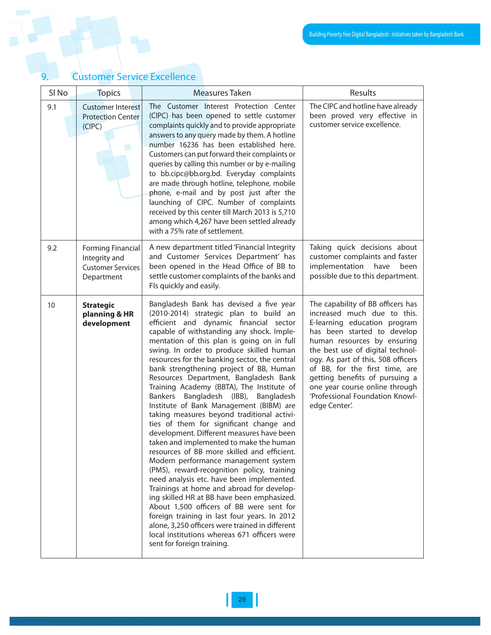| SI <sub>No</sub> | <b>Topics</b>                                                                       | <b>Measures Taken</b>                                                                                                                                                                                                                                                                                                                                                                                                                                                                                                                                                                                                                                                                                                                                                                                                                                                                                                                                                                                                                                                                                                                                                                                                              | Results                                                                                                                                                                                                                                                                                                                                                                                            |
|------------------|-------------------------------------------------------------------------------------|------------------------------------------------------------------------------------------------------------------------------------------------------------------------------------------------------------------------------------------------------------------------------------------------------------------------------------------------------------------------------------------------------------------------------------------------------------------------------------------------------------------------------------------------------------------------------------------------------------------------------------------------------------------------------------------------------------------------------------------------------------------------------------------------------------------------------------------------------------------------------------------------------------------------------------------------------------------------------------------------------------------------------------------------------------------------------------------------------------------------------------------------------------------------------------------------------------------------------------|----------------------------------------------------------------------------------------------------------------------------------------------------------------------------------------------------------------------------------------------------------------------------------------------------------------------------------------------------------------------------------------------------|
| 9.1              | <b>Customer Interest</b><br><b>Protection Center</b><br>(CIPC)                      | The Customer Interest Protection Center<br>(CIPC) has been opened to settle customer<br>complaints quickly and to provide appropriate<br>answers to any query made by them. A hotline<br>number 16236 has been established here.<br>Customers can put forward their complaints or<br>queries by calling this number or by e-mailing<br>to bb.cipc@bb.org.bd. Everyday complaints<br>are made through hotline, telephone, mobile<br>phone, e-mail and by post just after the<br>launching of CIPC. Number of complaints<br>received by this center till March 2013 is 5,710<br>among which 4,267 have been settled already<br>with a 75% rate of settlement.                                                                                                                                                                                                                                                                                                                                                                                                                                                                                                                                                                        | The CIPC and hotline have already<br>been proved very effective in<br>customer service excellence.                                                                                                                                                                                                                                                                                                 |
| 9.2              | <b>Forming Financial</b><br>Integrity and<br><b>Customer Services</b><br>Department | A new department titled 'Financial Integrity<br>and Customer Services Department' has<br>been opened in the Head Office of BB to<br>settle customer complaints of the banks and<br>Fls quickly and easily.                                                                                                                                                                                                                                                                                                                                                                                                                                                                                                                                                                                                                                                                                                                                                                                                                                                                                                                                                                                                                         | Taking quick decisions about<br>customer complaints and faster<br>implementation have<br>been<br>possible due to this department.                                                                                                                                                                                                                                                                  |
| 10               | <b>Strategic</b><br>planning & HR<br>development                                    | Bangladesh Bank has devised a five year<br>(2010-2014) strategic plan to build an<br>efficient and dynamic financial sector<br>capable of withstanding any shock. Imple-<br>mentation of this plan is going on in full<br>swing. In order to produce skilled human<br>resources for the banking sector, the central<br>bank strengthening project of BB, Human<br>Resources Department, Bangladesh Bank<br>Training Academy (BBTA), The Institute of<br>Bankers Bangladesh (IBB), Bangladesh<br>Institute of Bank Management (BIBM) are<br>taking measures beyond traditional activi-<br>ties of them for significant change and<br>development. Different measures have been<br>taken and implemented to make the human<br>resources of BB more skilled and efficient.<br>Modern performance management system<br>(PMS), reward-recognition policy, training<br>need analysis etc. have been implemented.<br>Trainings at home and abroad for develop-<br>ing skilled HR at BB have been emphasized.<br>About 1,500 officers of BB were sent for<br>foreign training in last four years. In 2012<br>alone, 3,250 officers were trained in different<br>local institutions whereas 671 officers were<br>sent for foreign training. | The capability of BB officers has<br>increased much due to this.<br>E-learning education program<br>has been started to develop<br>human resources by ensuring<br>the best use of digital technol-<br>ogy. As part of this, 508 officers<br>of BB, for the first time, are<br>getting benefits of pursuing a<br>one year course online through<br>'Professional Foundation Knowl-<br>edge Center'. |

## 9. Customer Service Excellence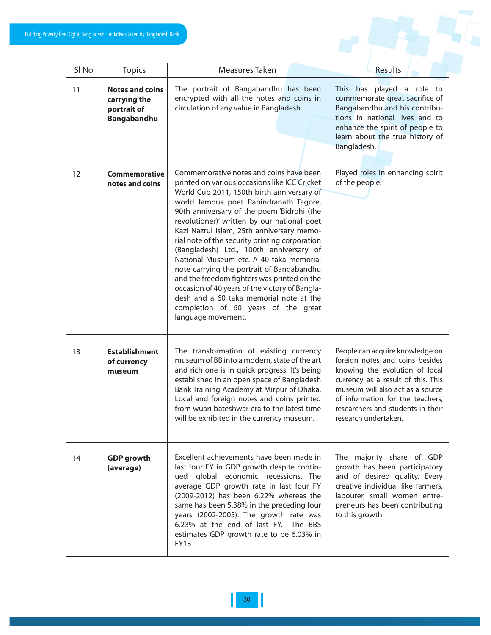

| SI <sub>No</sub> | <b>Topics</b>                                                        | Measures Taken                                                                                                                                                                                                                                                                                                                                                                                                                                                                                                                                                                                                                                                                                                           | Results                                                                                                                                                                                                                                                                         |
|------------------|----------------------------------------------------------------------|--------------------------------------------------------------------------------------------------------------------------------------------------------------------------------------------------------------------------------------------------------------------------------------------------------------------------------------------------------------------------------------------------------------------------------------------------------------------------------------------------------------------------------------------------------------------------------------------------------------------------------------------------------------------------------------------------------------------------|---------------------------------------------------------------------------------------------------------------------------------------------------------------------------------------------------------------------------------------------------------------------------------|
| 11               | <b>Notes and coins</b><br>carrying the<br>portrait of<br>Bangabandhu | The portrait of Bangabandhu has been<br>encrypted with all the notes and coins in<br>circulation of any value in Bangladesh.                                                                                                                                                                                                                                                                                                                                                                                                                                                                                                                                                                                             | has played a role to<br><b>This</b><br>commemorate great sacrifice of<br>Bangabandhu and his contribu-<br>tions in national lives and to<br>enhance the spirit of people to<br>learn about the true history of<br>Bangladesh.                                                   |
| 12               | Commemorative<br>notes and coins                                     | Commemorative notes and coins have been<br>printed on various occasions like ICC Cricket<br>World Cup 2011, 150th birth anniversary of<br>world famous poet Rabindranath Tagore,<br>90th anniversary of the poem 'Bidrohi (the<br>revolutioner)' written by our national poet<br>Kazi Nazrul Islam, 25th anniversary memo-<br>rial note of the security printing corporation<br>(Bangladesh) Ltd., 100th anniversary of<br>National Museum etc. A 40 taka memorial<br>note carrying the portrait of Bangabandhu<br>and the freedom fighters was printed on the<br>occasion of 40 years of the victory of Bangla-<br>desh and a 60 taka memorial note at the<br>completion of 60 years of the great<br>language movement. | Played roles in enhancing spirit<br>of the people.                                                                                                                                                                                                                              |
| 13               | <b>Establishment</b><br>of currency<br>museum                        | The transformation of existing currency<br>museum of BB into a modern, state of the art<br>and rich one is in quick progress. It's being<br>established in an open space of Bangladesh<br>Bank Training Academy at Mirpur of Dhaka.<br>Local and foreign notes and coins printed<br>from wuari bateshwar era to the latest time<br>will be exhibited in the currency museum.                                                                                                                                                                                                                                                                                                                                             | People can acquire knowledge on<br>foreign notes and coins besides<br>knowing the evolution of local<br>currency as a result of this. This<br>museum will also act as a source<br>of information for the teachers,<br>researchers and students in their<br>research undertaken. |
| 14               | <b>GDP</b> growth<br>(average)                                       | Excellent achievements have been made in<br>last four FY in GDP growth despite contin-<br>ued global economic recessions. The<br>average GDP growth rate in last four FY<br>(2009-2012) has been 6.22% whereas the<br>same has been 5.38% in the preceding four<br>years (2002-2005). The growth rate was<br>6.23% at the end of last FY. The BBS<br>estimates GDP growth rate to be 6.03% in<br><b>FY13</b>                                                                                                                                                                                                                                                                                                             | The majority share of GDP<br>growth has been participatory<br>and of desired quality. Every<br>creative individual like farmers,<br>labourer, small women entre-<br>preneurs has been contributing<br>to this growth.                                                           |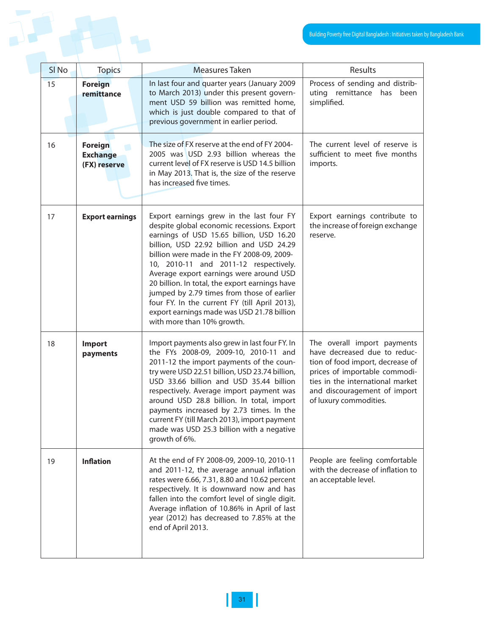|                  |                                            |                                                                                                                                                                                                                                                                                                                                                                                                                                                                                                                                               | Building Poverty free Digital Bangladesh : Initiatives taken                                                                                                                                                                   |
|------------------|--------------------------------------------|-----------------------------------------------------------------------------------------------------------------------------------------------------------------------------------------------------------------------------------------------------------------------------------------------------------------------------------------------------------------------------------------------------------------------------------------------------------------------------------------------------------------------------------------------|--------------------------------------------------------------------------------------------------------------------------------------------------------------------------------------------------------------------------------|
| SI <sub>No</sub> | <b>Topics</b>                              | <b>Measures Taken</b>                                                                                                                                                                                                                                                                                                                                                                                                                                                                                                                         | Results                                                                                                                                                                                                                        |
| 15               | <b>Foreign</b><br>remittance               | In last four and quarter years (January 2009<br>to March 2013) under this present govern-<br>ment USD 59 billion was remitted home,<br>which is just double compared to that of<br>previous government in earlier period.                                                                                                                                                                                                                                                                                                                     | Process of sending and distrib-<br>uting remittance has<br>been<br>simplified.                                                                                                                                                 |
| 16               | Foreign<br><b>Exchange</b><br>(FX) reserve | The size of FX reserve at the end of FY 2004-<br>2005 was USD 2.93 billion whereas the<br>current level of FX reserve is USD 14.5 billion<br>in May 2013. That is, the size of the reserve<br>has increased five times.                                                                                                                                                                                                                                                                                                                       | The current level of reserve is<br>sufficient to meet five months<br>imports.                                                                                                                                                  |
| 17               | <b>Export earnings</b>                     | Export earnings grew in the last four FY<br>despite global economic recessions. Export<br>earnings of USD 15.65 billion, USD 16.20<br>billion, USD 22.92 billion and USD 24.29<br>billion were made in the FY 2008-09, 2009-<br>10, 2010-11 and 2011-12 respectively.<br>Average export earnings were around USD<br>20 billion. In total, the export earnings have<br>jumped by 2.79 times from those of earlier<br>four FY. In the current FY (till April 2013),<br>export earnings made was USD 21.78 billion<br>with more than 10% growth. | Export earnings contribute to<br>the increase of foreign exchange<br>reserve.                                                                                                                                                  |
| 18               | Import<br>payments                         | Import payments also grew in last four FY. In<br>the FYs 2008-09, 2009-10, 2010-11 and<br>2011-12 the import payments of the coun-<br>try were USD 22.51 billion, USD 23.74 billion,<br>USD 33.66 billion and USD 35.44 billion<br>respectively. Average import payment was<br>around USD 28.8 billion. In total, import<br>payments increased by 2.73 times. In the<br>current FY (till March 2013), import payment<br>made was USD 25.3 billion with a negative<br>growth of 6%.                                                            | The overall import payments<br>have decreased due to reduc-<br>tion of food import, decrease of<br>prices of importable commodi-<br>ties in the international market<br>and discouragement of import<br>of luxury commodities. |
| 19               | <b>Inflation</b>                           | At the end of FY 2008-09, 2009-10, 2010-11<br>and 2011-12, the average annual inflation<br>rates were 6.66, 7.31, 8.80 and 10.62 percent<br>respectively. It is downward now and has<br>fallen into the comfort level of single digit.<br>Average inflation of 10.86% in April of last<br>year (2012) has decreased to 7.85% at the<br>end of April 2013.                                                                                                                                                                                     | People are feeling comfortable<br>with the decrease of inflation to<br>an acceptable level.                                                                                                                                    |

I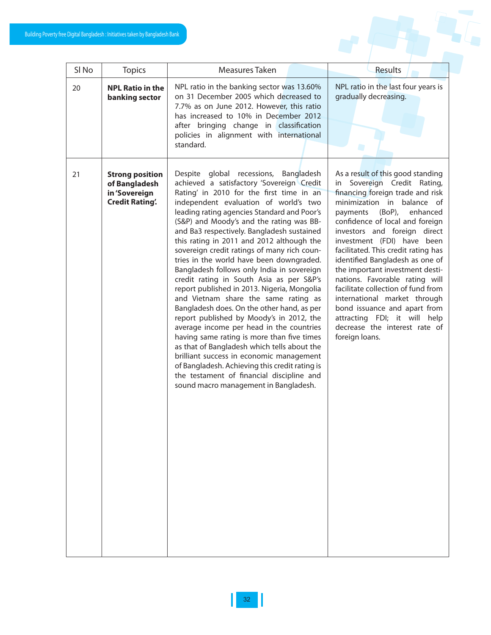| SI <sub>No</sub><br><b>Topics</b>                                                       | Measures Taken                                                                                                                                                                                                                                                                                                                                                                                                                                                                                                                                                                                                                                                                                                                                                                                                                                                                                                                                                                                                                                                   | Results                                                                                                                                                                                                                                                                                                                                                                                                                                                                                                                                                                                                          |
|-----------------------------------------------------------------------------------------|------------------------------------------------------------------------------------------------------------------------------------------------------------------------------------------------------------------------------------------------------------------------------------------------------------------------------------------------------------------------------------------------------------------------------------------------------------------------------------------------------------------------------------------------------------------------------------------------------------------------------------------------------------------------------------------------------------------------------------------------------------------------------------------------------------------------------------------------------------------------------------------------------------------------------------------------------------------------------------------------------------------------------------------------------------------|------------------------------------------------------------------------------------------------------------------------------------------------------------------------------------------------------------------------------------------------------------------------------------------------------------------------------------------------------------------------------------------------------------------------------------------------------------------------------------------------------------------------------------------------------------------------------------------------------------------|
| <b>NPL Ratio in the</b><br>20<br>banking sector                                         | NPL ratio in the banking sector was 13.60%<br>on 31 December 2005 which decreased to<br>7.7% as on June 2012. However, this ratio<br>has increased to 10% in December 2012<br>after bringing change in classification<br>policies in alignment with international<br>standard.                                                                                                                                                                                                                                                                                                                                                                                                                                                                                                                                                                                                                                                                                                                                                                                   | NPL ratio in the last four years is<br>gradually decreasing.                                                                                                                                                                                                                                                                                                                                                                                                                                                                                                                                                     |
| 21<br><b>Strong position</b><br>of Bangladesh<br>in 'Sovereign<br><b>Credit Rating.</b> | Despite global recessions, Bangladesh<br>achieved a satisfactory 'Sovereign Credit<br>Rating' in 2010 for the first time in an<br>independent evaluation of world's two<br>leading rating agencies Standard and Poor's<br>(S&P) and Moody's and the rating was BB-<br>and Ba3 respectively. Bangladesh sustained<br>this rating in 2011 and 2012 although the<br>sovereign credit ratings of many rich coun-<br>tries in the world have been downgraded.<br>Bangladesh follows only India in sovereign<br>credit rating in South Asia as per S&P's<br>report published in 2013. Nigeria, Mongolia<br>and Vietnam share the same rating as<br>Bangladesh does. On the other hand, as per<br>report published by Moody's in 2012, the<br>average income per head in the countries<br>having same rating is more than five times<br>as that of Bangladesh which tells about the<br>brilliant success in economic management<br>of Bangladesh. Achieving this credit rating is<br>the testament of financial discipline and<br>sound macro management in Bangladesh. | As a result of this good standing<br>in Sovereign Credit Rating,<br>financing foreign trade and risk<br>minimization in balance of<br>$(BoP)$ ,<br>enhanced<br>payments<br>confidence of local and foreign<br>investors and foreign direct<br>investment (FDI) have been<br>facilitated. This credit rating has<br>identified Bangladesh as one of<br>the important investment desti-<br>nations. Favorable rating will<br>facilitate collection of fund from<br>international market through<br>bond issuance and apart from<br>attracting FDI; it will help<br>decrease the interest rate of<br>foreign loans. |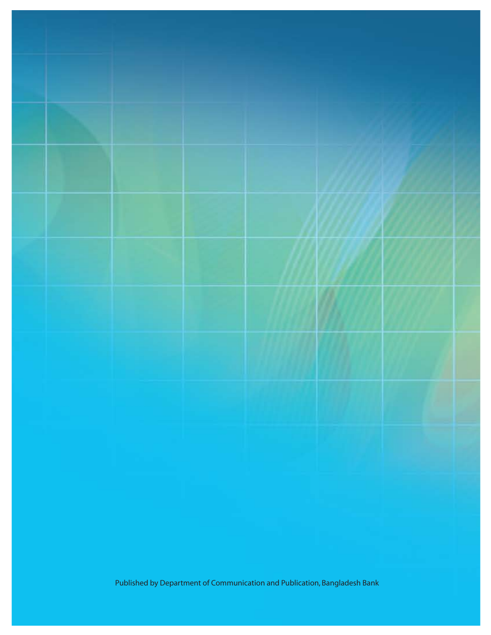Published by Department of Communication and Publication, Bangladesh Bank